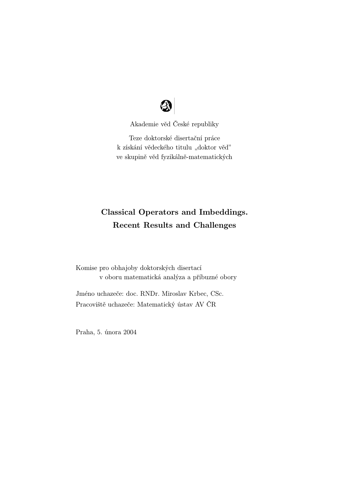

Akademie věd České republiky

Teze doktorské disertační práce k získání vědeckého titulu "doktor věd" ve skupině věd fyzikálně-matematických

# Classical Operators and Imbeddings. Recent Results and Challenges

Komise pro obhajoby doktorských disertací v oboru matematická analýza a příbuzné obory

Jméno uchazeče: doc. RNDr. Miroslav Krbec, CSc. Pracoviště uchazeče: Matematický ústav AV ČR

Praha, 5. února 2004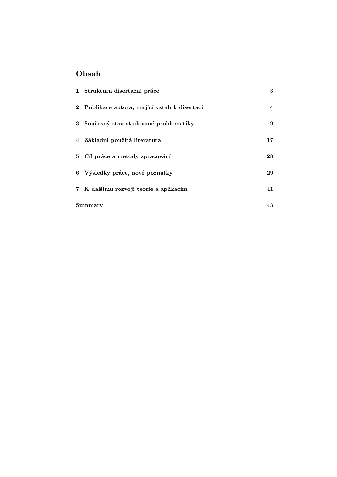# Obsah

|                | 1 Struktura disertační práce                 | 3              |
|----------------|----------------------------------------------|----------------|
|                | 2 Publikace autora, mající vztah k disertaci | $\overline{4}$ |
|                | 3 Současný stav studované problematiky       | 9              |
|                | 4 Základní použitá literatura                | 17             |
|                | 5 Cíl práce a metody zpracování              | 28             |
|                | 6 Výsledky práce, nové poznatky              | 29             |
|                | 7 K dalšímu rozvoji teorie a aplikacím       | 41             |
| <b>Summary</b> |                                              | 43             |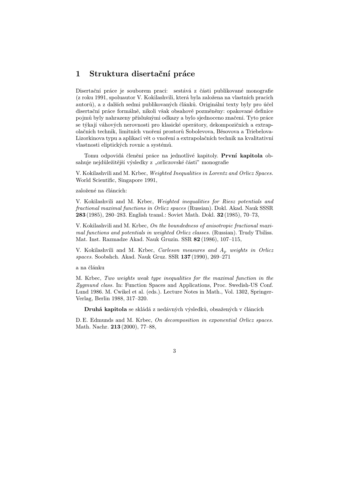### 1 Struktura disertační práce

Disertační práce je souborem prací: sestává z části publikované monografie (z roku 1991, spoluautor V. Kokilashvili, která byla založena na vlastních pracích autorů), a z dalších sedmi publikovaných článků. Originální texty byly pro účel disertační práce formálně, nikoli však obsahově pozměněny: opakované definice pojm˚u byly nahrazeny příslušnými odkazy a bylo sjednoceno značení. Tyto práce se týkají váhových nerovnosti pro klasické operátory, dekompozičních a extrapolačních technik, limitních vnoření prostor˚u Sobolevova, Běsovova a Triebelova-Lizorkinova typu a aplikací vět o vnoření a extrapolačních technik na kvalitativní vlastnosti eliptických rovnic a systémů.

Tomu odpovídá členění práce na jednotlivé kapitoly. První kapitola obsahuje nejdůležitější výsledky z "orliczovské části" monografie

V. Kokilashvili and M. Krbec, Weighted Inequalities in Lorentz and Orlicz Spaces. World Scientific, Singapore 1991,

založené na článcích:

V. Kokilashvili and M. Krbec, Weighted inequalities for Riesz potentials and fractional maximal functions in Orlicz spaces (Russian). Dokl. Akad. Nauk SSSR 283 (1985), 280–283. English transl.: Soviet Math. Dokl. 32 (1985), 70–73,

V. Kokilashvili and M. Krbec, On the boundedness of anisotropic fractional maximal functions and potentials in weighted Orlicz classes. (Russian). Trudy Tbiliss. Mat. Inst. Razmadze Akad. Nauk Gruzin. SSR 82 (1986), 107–115,

V. Kokilashvili and M. Krbec, *Carleson measures and*  $A_p$  weights in Orlicz spaces. Soobshch. Akad. Nauk Gruz. SSR 137 (1990), 269–271

a na článku

M. Krbec, Two weights weak type inequalities for the maximal function in the Zygmund class. In: Function Spaces and Applications, Proc. Swedish-US Conf. Lund 1986. M. Cwikel et al. (eds.). Lecture Notes in Math., Vol. 1302, Springer-Verlag, Berlin 1988, 317–320.

Druhá kapitola se skládá z nedávných výsledků, obsažených v článcích

D. E. Edmunds and M. Krbec, On decomposition in exponential Orlicz spaces. Math. Nachr. 213 (2000), 77–88,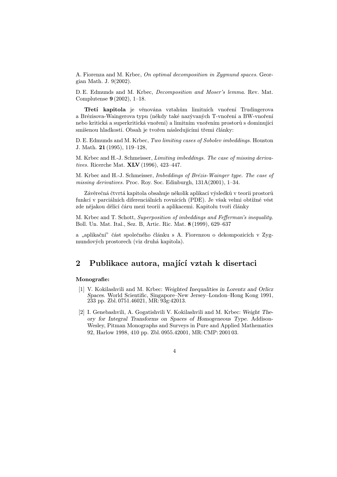A. Fiorenza and M. Krbec, On optimal decomposition in Zygmund spaces. Georgian Math. J. 9(2002).

D. E. Edmunds and M. Krbec, Decomposition and Moser's lemma. Rev. Mat. Complutense 9 (2002), 1–18.

Třetí kapitola je věnována vztahům limitních vnoření Trudingerova a Brézisova-Waingerova typu (někdy také nazývaných T-vnoření a BW-vnoření nebo kritická a superkritická vnoření) a limitním vnořením prostorů s dominující smíšenou hladkostí. Obsah je tvořen následujícími třemi články:

D. E. Edmunds and M. Krbec, Two limiting cases of Sobolev imbeddings. Houston J. Math. 21 (1995), 119–128,

M. Krbec and H.-J. Schmeisser, Limiting imbeddings. The case of missing derivatives. Ricerche Mat. XLV (1996), 423–447.

M. Krbec and H.-J. Schmeisser, Imbeddings of Brézis-Wainger type. The case of missing derivatives. Proc. Roy. Soc. Edinburgh, 131A(2001), 1–34.

Závěrečná čtvrtá kapitola obsahuje několik aplikací výsledků v teorii prostorů funkcí v parciálních diferenciálních rovnicích (PDE). Je však velmi obtížné vést zde nějakou dělící čáru mezi teorií a aplikacemi. Kapitolu tvoří články

M. Krbec and T. Schott, Superposition of imbeddings and Fefferman's inequality. Boll. Un. Mat. Ital., Sez. B, Artic. Ric. Mat. 8 (1999), 629–637

a "aplikační" část společného článku s A. Fiorenzou o dekompozicích v Zygmundových prostorech (viz druhá kapitola).

### 2 Publikace autora, mající vztah k disertaci

#### Monografie:

- [1] V. Kokilashvili and M. Krbec: Weighted Inequalities in Lorentz and Orlicz Spaces. World Scientific, Singapore–New Jersey–London–Hong Kong 1991, 233 pp. Zbl. 0751.46021, MR: 93g:42013.
- [2] I. Genebashvili, A. Gogatishvili V. Kokilashvili and M. Krbec: Weight Theory for Integral Transforms on Spaces of Homogeneous Type. Addison-Wesley, Pitman Monographs and Surveys in Pure and Applied Mathematics 92, Harlow 1998, 410 pp. Zbl. 0955.42001, MR: CMP: 2001 03.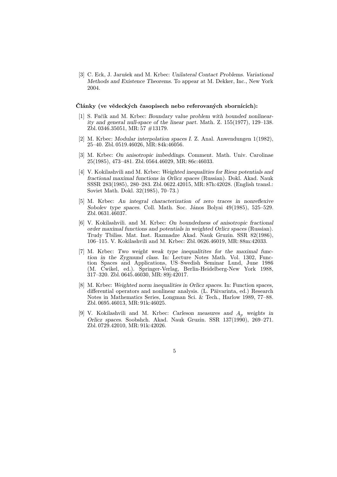[3] C. Eck, J. Jarušek and M. Krbec: Unilateral Contact Problems. Variational Methods and Existence Theorems. To appear at M. Dekker, Inc., New York 2004.

#### Články (ve vědeckých časopisech nebo referovaných sbornících):

- [1] S. Fučík and M. Krbec: Boundary value problem with bounded nonlinearity and general null-space of the linear part. Math. Z. 155(1977), 129–138. Zbl. 0346.35051, MR: 57 #13179.
- [2] M. Krbec: Modular interpolation spaces I. Z. Anal. Anwendungen 1(1982), 25–40. Zbl. 0519.46026, MR: 84k:46056.
- [3] M. Krbec: On anisotropic imbeddings. Comment. Math. Univ. Carolinae 25(1985), 473–481. Zbl. 0564.46029, MR: 86c:46033.
- [4] V. Kokilashvili and M. Krbec: Weighted inequalities for Riesz potentials and fractional maximal functions in Orlicz spaces (Russian). Dokl. Akad. Nauk SSSR 283(1985), 280–283. Zbl. 0622.42015, MR: 87h:42028. (English transl.: Soviet Math. Dokl. 32(1985), 70–73.)
- [5] M. Krbec: An integral characterization of zero traces in nonreflexive Sobolev type spaces. Coll. Math. Soc. János Bolyai 49(1985), 525–529. Zbl. 0631.46037.
- [6] V. Kokilashvili. and M. Krbec: On boundedness of anisotropic fractional order maximal functions and potentials in weighted Orlicz spaces (Russian). Trudy Tbiliss. Mat. Inst. Razmadze Akad. Nauk Gruzin. SSR 82(1986), 106–115. V. Kokilashvili and M. Krbec: Zbl. 0626.46019, MR: 88m:42033.
- [7] M. Krbec: Two weight weak type inequalitites for the maximal function in the Zygmund class. In: Lecture Notes Math. Vol. 1302, Function Spaces and Applications, US–Swedish Seminar Lund, June 1986 (M. Cwikel, ed.). Springer-Verlag, Berlin-Heidelberg-New York 1988, 317–320. Zbl. 0645.46030, MR: 89j:42017.
- [8] M. Krbec: Weighted norm inequalities in Orlicz spaces. In: Function spaces, differential operators and nonlinear analysis. (L. Päivarinta, ed.) Research Notes in Mathematics Series, Longman Sci. & Tech., Harlow 1989, 77–88. Zbl. 0695.46013, MR: 91k:46025.
- [9] V. Kokilashvili and M. Krbec: Carleson measures and  $A_p$  weights in Orlicz spaces. Soobshch. Akad. Nauk Gruzin. SSR 137(1990), 269–271. Zbl. 0729.42010, MR: 91k:42026.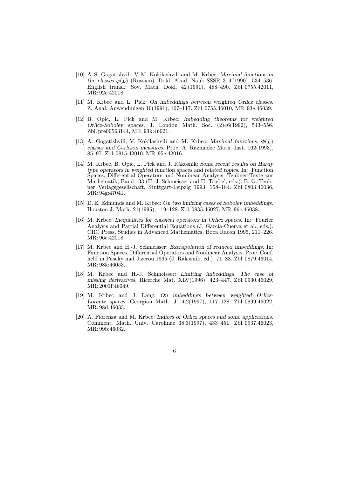- [10] A. S. Gogatishvili, V. M. Kokilashvili and M. Krbec: Maximal functions in the classes  $\varphi(L)$  (Russian). Dokl. Akad. Nauk SSSR 314 (1990), 534–536. English transl.: Sov. Math. Dokl. 42 (1991), 488–490. Zbl. 0755.42011, MR: 92c:42018.
- [11] M. Krbec and L. Pick: On imbeddings between weighted Orlicz classes. Z. Anal. Anwendungen 10(1991), 107–117. Zbl. 0755.46010, MR: 93e:46039.
- [12] B. Opic, L. Pick and M. Krbec: Imbedding theorems for weighted Orlicz-Sobolev spaces. J. London Math. Soc. (2)46(1992), 543–556. Zbl. pre00563144, MR: 93k:46021.
- [13] A. Gogatishvili, V. Kokilashvili and M. Krbec: Maximal functions,  $\Phi(L)$ classes and Carleson measures. Proc. A. Razmadze Math. Inst. 102(1993), 85–97. Zbl. 0815.42010, MR: 95e:42016.
- [14] M. Krbec, B. Opic, L. Pick and J. Rákosník: Some recent results on Hardy type operators in weighted function spaces and related topics. In: Function Spaces, Differential Operators and Nonlinear Analysis. Teubner-Texte zur Mathematik, Band 133 (H.-J. Schmeisser and H. Triebel, eds.). B. G. Teubner Verlagsgesellschaft, Stuttgart-Leipzig 1993, 158–184. Zbl. 0803.46036, MR: 94g:47041.
- [15] D. E. Edmunds and M. Krbec: On two limiting cases of Sobolev imbeddings. Houston J. Math. 21(1995), 119–128. Zbl. 0835.46027, MR: 96c:46038.
- [16] M. Krbec: Inequalities for classical operators in Orlicz spaces. In: Fourier Analysis and Partial Differential Equations (J. García-Cuerva et al., eds.). CRC Press, Studies in Advanced Mathematics, Boca Racon 1995, 211–226. MR: 96e:42018.
- [17] M. Krbec and H.-J. Schmeisser: Extrapolation of reduced imbeddings. In: Function Spaces, Differential Operators and Nonlinear Analysis, Proc. Conf. held in Paseky nad Jizerou 1995 (J. Rákosník, ed.), 71–88. Zbl. 0879.46014, MR: 98k:46053.
- [18] M. Krbec and H.-J. Schmeisser: Limiting imbeddings. The case of missing derivatives. Ricerche Mat. XLV(1996), 423–447. Zbl. 0930.46029, MR: 2001f:46049.
- [19] M. Krbec and J. Lang: On imbeddings between weighted Orlicz-Lorentz spaces. Georgian Math. J. 4,2(1997), 117–128. Zbl. 0899.46022, MR: 98d:46033.
- [20] A. Fiorenza and M. Krbec: Indices of Orlicz spaces and some applications. Comment. Math. Univ. Carolinae 38,3(1997), 433–451. Zbl. 0937.46023, MR: 99b:46032.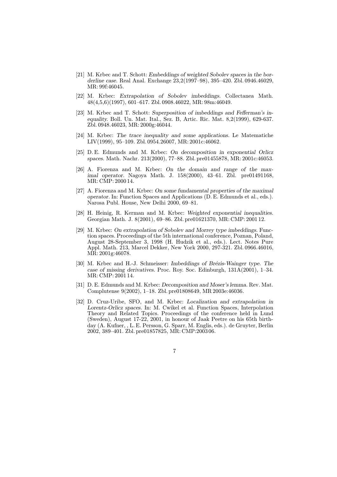- [21] M. Krbec and T. Schott: Embeddings of weighted Sobolev spaces in the borderline case. Real Anal. Exchange 23,2(1997–98), 395–420. Zbl. 0946.46029, MR: 99f:46045.
- [22] M. Krbec: Extrapolation of Sobolev imbeddings. Collectanea Math. 48(4,5,6)(1997), 601–617. Zbl. 0908.46022, MR: 98m:46049.
- [23] M. Krbec and T. Schott: Superposition of imbeddings and Fefferman's inequality. Boll. Un. Mat. Ital., Sez. B, Artic. Ric. Mat. 8,2(1999), 629-637. Zbl. 0948.46023, MR: 2000g:46044.
- [24] M. Krbec: The trace inequality and some applications. Le Matematiche LIV(1999), 95–109. Zbl. 0954.26007, MR: 2001c:46062.
- [25] D. E. Edmunds and M. Krbec: On decomposition in exponential Orlicz spaces. Math. Nachr. 213(2000), 77–88. Zbl. pre01455878, MR: 2001c:46053.
- [26] A. Fiorenza and M. Krbec: On the domain and range of the maximal operator. Nagoya Math. J. 158(2000), 43–61. Zbl. pre01491168, MR: CMP: 2000 14.
- [27] A. Fiorenza and M. Krbec: On some fundamental properties of the maximal operator. In: Function Spaces and Applications (D. E. Edmunds et al., eds.). Narosa Publ. House, New Delhi 2000, 69–81.
- [28] H. Heinig, R. Kerman and M. Krbec: Weighted exponential inequalities. Georgian Math. J. 8(2001), 69–86. Zbl. pre01621370, MR: CMP: 2001 12.
- [29] M. Krbec: On extrapolation of Sobolev and Morrey type imbeddings. Function spaces. Proceedings of the 5th international conference, Poznan, Poland, August 28-September 3, 1998 (H. Hudzik et al., eds.). Lect. Notes Pure Appl. Math. 213, Marcel Dekker, New York 2000, 297-321. Zbl. 0966.46016, MR: 2001g:46078.
- [30] M. Krbec and H.-J. Schmeisser: Imbeddings of Brézis-Wainger type. The case of missing derivatives. Proc. Roy. Soc. Edinburgh, 131A(2001), 1–34. MR: CMP: 2001 14.
- [31] D. E. Edmunds and M. Krbec: Decomposition and Moser's lemma. Rev. Mat. Complutense 9(2002), 1–18. Zbl. pre01808649, MR 2003e:46036.
- [32] D. Cruz-Uribe, SFO, and M. Krbec: Localization and extrapolation in Lorentz-Orlicz spaces. In: M. Cwikel et al. Function Spaces, Interpolation Theory and Related Topics. Proceedings of the conference held in Lund (Sweden), August 17-22, 2001, in honour of Jaak Peetre on his 65th birthday (A. Kufner, , L. E. Persson, G. Sparr, M. Englis, eds.). de Gruyter, Berlin 2002, 389–401. Zbl. pre01857825, MR: CMP:2003 06.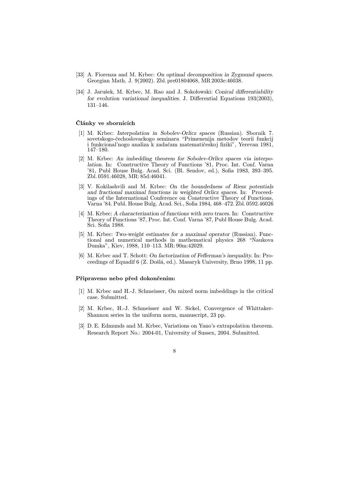- [33] A. Fiorenza and M. Krbec: On optimal decomposition in Zygmund spaces. Georgian Math. J. 9(2002). Zbl. pre01804068, MR 2003e:46038.
- [34] J. Jarušek, M. Krbec, M. Rao and J. Sokołowski: Conical differentiability for evolution variational inequalities. J. Differential Equations 193(2003), 131–146.

#### Články ve sbornících

- [1] M. Krbec: Interpolation in Sobolev-Orlicz spaces (Russian). Sbornik 7. sovetskogo-čechoslovackogo seminara "Primenenija metodov teorii funkcij i funkcional'nogo analiza k zadačam matematičeskoj fiziki", Yerevan 1981, 147–180.
- [2] M. Krbec: An imbedding theorem for Sobolev-Orlicz spaces via interpolation. In: Constructive Theory of Functions '81, Proc. Int. Conf. Varna '81, Publ House Bulg. Acad. Sci. (Bl. Sendov, ed.), Sofia 1983, 393–395. Zbl. 0591.46028, MR: 85d:46041.
- [3] V. Kokilashvili and M. Krbec: On the boundedness of Riesz potentials and fractional maximal functions in weighted Orlicz spaces. In: Proceedings of the International Conference on Constructive Theory of Functions, Varna '84. Publ. House Bulg. Acad. Sci., Sofia 1984, 468–472. Zbl. 0592.46026
- [4] M. Krbec: A characterization of functions with zero traces. In: Constructive Theory of Functions '87, Proc. Int. Conf. Varna '87, Publ House Bulg. Acad. Sci. Sofia 1988.
- [5] M. Krbec: Two-weight estimates for a maximal operator (Russian). Functional and numerical methods in mathematical physics 268 "Naukova Dumka", Kiev, 1988, 110–113. MR: 90m:42029.
- [6] M. Krbec and T. Schott: On factorization of Fefferman's inequality. In: Proceedings of Equadif 6 (Z. Došlá, ed.). Masaryk University, Brno 1998, 11 pp.

#### Připraveno nebo před dokončením:

- [1] M. Krbec and H.-J. Schmeisser, On mixed norm imbeddings in the critical case. Submitted.
- [2] M. Krbec, H.-J. Schmeisser and W. Sickel, Convergence of Whittaker-Shannon series in the uniform norm, manuscript, 23 pp.
- [3] D. E. Edmunds and M. Krbec, Variations on Yano's extrapolation theorem. Research Report No.: 2004-01, University of Sussex, 2004. Submitted.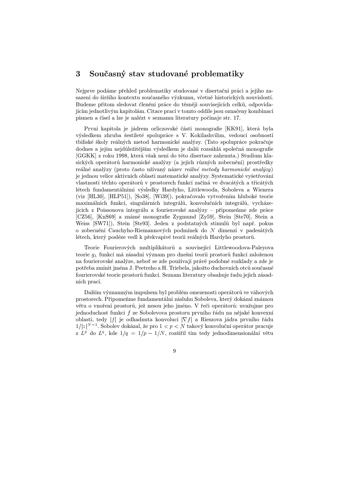### 3 Současný stav studované problematiky

Nejprve podáme přehled problematiky studované v disertační práci a jejího zasazení do širšího kontextu současného výzkumu, včetně historických souvislostí. Budeme přitom sledovat členění práce do těsněji souvisejících celků, odpovídajícím jednotlivým kapitolám. Citace prací v tomto oddíle jsou označeny kombinací písmen a čísel a lze je nalézt v seznamu literatury počínaje str. 17.

První kapitola je jádrem orliczovské části monografie [KK91], která byla výsledkem zhruba šestileté spolupráce s V. Kokilashvilim, vedoucí osobností tbiliské školy reálných metod harmonické analýzy. (Tato spolupráce pokračuje dodnes a jejím nejd˚uležitějším výsledkem je další rozsáhlá společná monografie [GGKK] z roku 1998, která však není do této disertace zahrnuta.) Studium klasických operátorů harmonické analýzy (a jejich různých zobecnění) prostředky reálné analýzy (proto často užívaný název reálné metody harmonické analýzy) je jednou velice aktivních oblastí matematické analýzy. Systematické vyšetřování vlastností těchto operátorů v prostorech funkcí začíná ve dvacátých a třicátých létech fundamentálními výsledky Hardyho, Littlewooda, Soboleva a Wienera (viz [HL30], [HLP51]), [So38], [Wi39]), pokračovalo vytvořením hluboké teorie maximálních funkcí, singulárních integrálů, konvolučních integrálů, vycházejících z Poissonova integrálu a fourierovské analýzy – připomeňme zde práce [CZ56], [KnS69] a známé monografie Zygmund [Zy59], Stein [Ste70], Stein a Weiss [SW71]), Stein [Ste93]. Jeden z podstatných stimulů byl např. pokus o zobecnění Cauchyho-Riemannových podmínek do  $N$  dimenzí v padesátých létech, který posléze vedl k překvapivé teorii reálných Hardyho prostorů.

Teorie Fourierových multiplikátorů a související Littlewoodova-Paleyova teorie $g_\lambda$ funkcí má zásadní význam pro dnešní teorii prostorů funkcí založenou na fourierovské analýze, nebot' se zde používají právě podobné rozklady a zde je potřeba zmínit jména J. Peetreho a H. Triebela, jakožto duchovních otců současné fourierovské teorie prostorů funkcí. Seznam literatury obsahuje řadu jejich zásadních prací.

Dalším významným impulsem byl problém omezenosti operátorů ve váhových prostorech. Připomeňme fundamentální zásluhu Soboleva, který dokázal známou větu o vnoření prostorů, jež nesou jeho jméno. V řeči operátorů: uvažujme pro jednoduchost funkci f ze Sobolevova prostoru prvního řádu na nějaké konvexní oblasti, tedy | f| je odhadnuta konvolucí  $|\nabla f|$  a Rieszova jádra prvního řádu  $1/|z|^{N-1}$ . Sobolev dokázal, že pro  $1 < p < N$  takový konvoluční operátor pracuje z  $L^p$  do  $L^q$ , kde  $1/q = 1/p - 1/N$ , rozšířil tím tedy jednodimensionální větu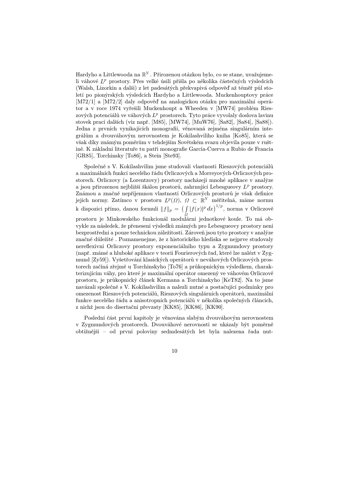Hardyho a Littlewooda na  $\mathbb{R}^N$  . Přirozenou otázkou bylo, co se stane, uvažujemeli váhové  $L^p$  prostory. Přes velké úsilí přišla po několika částečných výsledcích (Walsh, Lizorkin a další) z let padesátých překvapivá odpověď až téměř půl století po pionýrských výsledcích Hardyho a Littlewooda. Muckenhouptovy práce [M72/1] a [M72/2] daly odpověd' na analogickou otázku pro maximální operátor a v roce 1974 vyřešili Muckenhoupt a Wheeden v [MW74] problém Rieszových potenciálů ve váhových  $L^p$  prostorech. Tyto práce vyvolaly doslova lavinu stovek prací dalších (viz např. [M85], [MW74], [MuW76], [Sa82], [Sa84], [Sa88]). Jedna z prvních vynikajících monografií, věnovaná zejména singulárním integrálům a dvouváhovým nerovnostem je Kokilashviliho kniha [Ko85], která se však díky známým poměrům v tehdejším Sovětském svazu objevila pouze v ruštině. K základní literatuře tu patří monografie García-Cuerva a Rubio de Francia [GR85], Torchinsky [To86], a Stein [Ste93].

Společně s V. Kokilashvilim jsme studovali vlastnosti Rieszových potenciálů a maximálních funkcí necelého řádu Orliczových a Morreyových-Orliczových prostorech. Orliczovy (a Lorentzovy) prostory nacházejí mnohé aplikace v analýze a jsou přirozenou nejbližší škálou prostorů, zahrnující Lebesgueovy  $L^p$  prostory. Známou a značně nepříjemnou vlastností Orliczových prostorů je však definice jejich normy. Zatímco v prostoru  $L^p(\Omega)$ ,  $\Omega \subset \mathbb{R}^N$  měřiteln  $^N$  měřitelná, máme normu k dispozici přímo, danou formulí  $||f||_p = \left(\int\limits_{S}|f(x)|^p dx\right)^{1/p}$ , norma v Orliczově prostoru je Minkowského funkcionál modulární jednotkové koule. To má obvykle za následek, že přenesení výsledků známých pro Lebesgueovy prostory není bezprostřední a pouze technickou záležitostí. Zároveň jsou tyto prostory v analýze značně důležité. Poznamenejme, že z historického hlediska se nejprve studovaly nereflexivní Orliczovy prostory exponenciálního typu a Zygmundovy prostory (např. známé a hluboké aplikace v teorii Fourierových řad, které lze nalézt v Zygmund [Zy59]). Vyšetřování klasických operátorů v neváhových Orliczových prostorech začíná zřejmě u Torchinskyho [To76] a průkopnickým výsledkem, charakterizujícím váhy, pro které je maximální operátor omezený ve váhovém Orliczově prostoru, je průkopnický článek Kermana a Torchinskyho [KeT82]. Na to jsme navázali společně s V. Kokilashvilim a nalezli nutné a postačující podmínky pro omezenost Rieszových potenciálů, Rieszových singulárních operátorů, maximální funkce necelého řádu a anisotropních potenciálů v několika společných článcích, z nichž jsou do disertační převzaty [KK85], [KK86], [KK90].

Poslední část první kapitoly je věnována slabým dvouváhovým nerovnostem v Zygmundových prostorech. Dvouváhové nerovnosti se ukázaly být poměrně obtížnější – od první poloviny sedmdesátých let byla nalezena řada nut-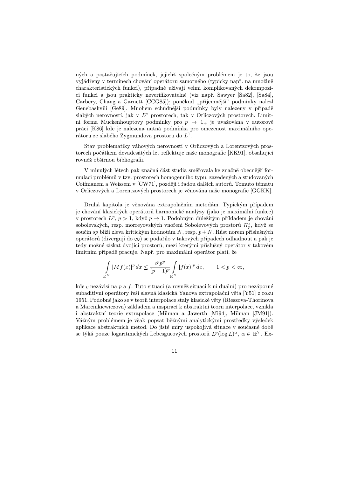ných a postačujících podmínek, jejichž společným problémem je to, že jsou vyjádřeny v termínech chování operátoru samotného (typicky např. na množině charakteristických funkcí), případně užívají velmi komplikovaných dekompozicí funkcí a jsou prakticky neverifikovatelné (viz např. Sawyer [Sa82], [Sa84], Carbery, Chang a Garnett [CCG85]); poněkud "příjemnější" podmínky nalezl Genebashvili [Ge89]. Mnohem schůdnější podmínky byly nalezeny v případě slabých nerovností, jak v  $L^p$  prostorech, tak v Orliczových prostorech. Limitní forma Muckenhouptovy podmínky pro  $p \rightarrow 1_{+}$  je uvažována v autorově práci [K86] kde je nalezena nutná podmínka pro omezenost maximálního operátoru ze slabého Zygmundova prostoru do  $L^1$ .

Stav problematiky váhových nerovností v Orliczových a Lorentzových prostorech počátkem devadesátých let reflektuje naše monografie [KK91], obsahující rovněž obšírnou bibliografii.

V minulých létech pak značná část studia směřovala ke značně obecnější formulaci problém˚u v tzv. prostorech homogenního typu, zavedených a studovaných Coifmanem a Weissem v [CW71], později i řadou dalších autorů. Tomuto tématu v Orliczových a Lorentzových prostorech je věnována naše monografie [GGKK].

Druhá kapitola je věnována extrapolačním metodám. Typickým případem je chování klasických operátorů harmonické analýzy (jako je maximální funkce) v prostorech  $L^p$ ,  $p > 1$ , když  $p \to 1$ . Podobným důležitým příkladem je chování sobolevských, resp. morreyovských vnoření Sobolevových prostorů  $H^s_p$ , když se součin sp blíží zleva kritickým hodnotám  $N$ , resp.  $p+N$ . Růst norem příslušných operátorů (divergují do  $\infty$ ) se podařilo v takových případech odhadnout a pak je tedy možné získat dvojici prostor˚u, mezi kterými příslušný operátor v takovém limitním případě pracuje. Např. pro maximální operátor platí, že

$$
\int_{\mathbb{R}^N} |Mf(x)|^p dx \le \frac{c^p p^p}{(p-1)^p} \int_{\mathbb{R}^N} |f(x)|^p dx, \qquad 1 < p < \infty,
$$

kde  $c$  nezávisí na  $p$  a  $f.$  Tuto situaci (a rovněž situaci k ní duální) pro nezáporné subaditivní operátory řeší slavná klasická Yanova extrapolační věta [Y51] z roku 1951. Podobně jako se v teorii interpolace staly klasické věty (Rieszova-Thorinova a Marcinkiewiczova) základem a inspirací k abstraktní teorii interpolace, vznikla i abstraktní teorie extrapolace (Milman a Jawerth [Mi94], Milman [JM91]). Vážným problémem je však popsat běžnými analytickými prostředky výsledek aplikace abstraktních metod. Do jisté míry uspokojivá situace v současné době se týká pouze logaritmických Lebesgueových prostorů  $L^p(\log L)^\alpha$ ,  $\alpha \in \mathbb{R}^N$ . Ex-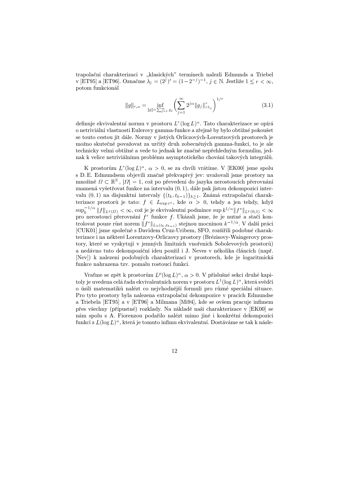trapolační charakterizaci v "klasických" termínech nalezli Edmunds a Triebel v [ET95] a [ET96]. Označme  $\lambda_j = (2^j)' = (1 - 2^{-j})^{-1}, j \in \mathbb{N}$ . Jestliže  $1 \le r < \infty$ , potom funkcionál

$$
||g||_{r,\alpha} = \inf_{|g| = \sum_{j=1}^{\infty} g_j} \left( \sum_{j=1}^{\infty} 2^{j\alpha} ||g_j||_{r\lambda_j}^r \right)^{1/r}
$$
(3.1)

definuje ekvivalentní normu v prostoru  $L^r(\log L)^\alpha$ . Tato charakterizace se opírá o netriviální vlastnosti Eulerovy gamma-funkce a zřejmě by bylo obtížné pokoušet se touto cestou jít dále. Normy v jistých Orliczových-Lorentzových prostorech je možno skutečně považovat za určitý druh zobecněných gamma-funkcí, to je ale technicky velmi obtížné a vede to jednak ke značně nepřehledným formulím, jednak k velice netriviálnímu problému asymptotického chování takových integrálů.

K prostorům  $L^r(\log L)^\alpha$ ,  $\alpha > 0$ , se za chvíli vrátíme. V [EK00] jsme spolu s D. E. Edmundsem objevili značně překvapivý jev: uvažovali jsme prostory na množině  $\Omega \subset \mathbb{R}^N$ ,  $|\Omega|=1$  $\mathbb{E}^N, |\varOmega|=1,$  což po převedení do jazyka nerostoucích přerovnání znamená vyšetřovat funkce na intervalu  $(0, 1)$ , dále pak jistou dekompozici intervalu  $(0,1)$  na disjunktní intervaly  $\{(t_k,t_{k-1})\}_{k\geq 1}$ . Známá extrapolační charakterizace prostorů je tato:  $f \in L_{\exp t^{\alpha}}$ , kde  $\alpha > 0$ , tehdy a jen tehdy, když  $\sup_k^{-1/\alpha} \|f\|_{L^p(\Omega)} < \infty,$  což je je ekvivalentní podmínce  $\sup k^{1/\alpha} \|f^*\|_{L^p(0,1)} < \infty$ pro nerostoucí přerovnání  $f^*$  funkce  $f$ . Ukázali jsme, že je nutné a stačí kontrolovat pouze růst norem  $||f^*||_{L_k(t_k,t_{k-1})}$  stejnou mocninou  $k^{-1/\alpha}$ . V další práci [CUK01] jsme společně s Davidem Cruz-Uribem, SFO, rozšířili podobné charakterizace i na některé Lorentzovy-Orliczovy prostory (Brézisovy-Waingerovy prostory, které se vyskytují v jemných limitních vnořeních Sobolevových prostorů) a nedávno tuto dekompoziční ideu použil i J. Neves v několika článcích (např. [Nev]) k nalezení podobných charakterizací v prostorech, kde je logaritmická funkce nahrazena tzv. pomalu rostoucí funkcí.

Vratme se zpět k prostorům  $L^p(\log L)^\alpha$ ,  $\alpha > 0$ . V příslušné sekci druhé kapitoly je uvedena celá řada ekvivalentních norem v prostoru  $L^1(\log L)^\alpha,$  která svědčí o úsilí matematiků nalézt co nejvhodnější formuli pro různé speciální situace. Pro tyto prostory byla nalezena extrapolační dekompozice v pracích Edmundse a Triebela [ET95] a v [ET96] a Milmana [Mi94], kde se ovšem pracuje infimem přes všechny (přípustné) rozklady. Na základě naší charakterizace v [EK00] se nám spolu s A. Fiorenzou podařilo nalézt mimo jiné i konkrétní dekompozici funkcí z  $L(\log L)^\alpha$ , která je tomuto infimu ekvivalentní. Dostáváme se tak k násle-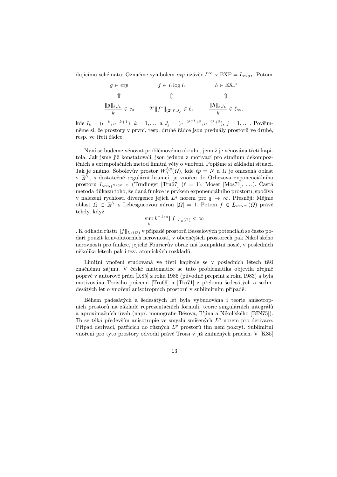dujícímu schématu: Označme symbolem *exp* uzávěr  $L^{\infty}$  v  $EXP = L_{\exp t}$ . Potom

$$
g \in exp \qquad \qquad f \in L \log L \qquad \qquad h \in \text{EXP}
$$
  

$$
\Downarrow \qquad \qquad \Downarrow \qquad \qquad \Downarrow
$$
  

$$
\frac{\|g\|_{k, I_k}}{k} \in c_0 \qquad \qquad 2^j \|f^*\|_{(2^j)', J_j} \in \ell_1 \qquad \frac{\|h\|_{k, I_k}}{k} \in \ell_\infty,
$$

kde  $I_k = (e^{-k}, e^{-k+1}), k = 1, \ldots$  a  $J_j = (e^{-2^{j+1}+2}, e^{-2^{j}+2}), j = 1, \ldots$  Povšimněme si, že prostory v první, resp. druhé řádce jsou preduály prostorů ve druhé, resp. ve třetí řádce.

Nyní se budeme věnovat problémovému okruhu, jemuž je věnována třetí kapitola. Jak jsme již konstatovali, jsou jednou z motivací pro studium dekompozičních a extrapolačních metod limitní věty o vnoření. Popišme si základní situaci. Jak je známo, Sobolevův prostor  $W_0^{\ell,p}(\Omega)$ , kde  $\ell p = N$  a  $\Omega$  je omezená oblast v $\mathbb{R}^N$ , s dostatečně regulární hranicí, je vnořen do Orliczova exponenciálního prostoru  $L_{\exp t^{N/(N-\ell)}}$  (Trudinger [Tru67]  $(\ell = 1)$ , Moser [Mos71], ...). Castá metoda důkazu toho, že daná funkce je prvkem exponenciálního prostoru, spočívá v nalezení rychlosti divergence jejích  $L^q$  norem pro  $q \to \infty$ . Přesněji: Mějme oblast  $\Omega \subset \mathbb{R}^N$  s Lebesg  $S^N$  s Lebesgueovou mírou  $|\Omega| = 1$ . Potom  $f \in L_{\exp t^{\alpha}}(\Omega)$  právě tehdy, když

$$
\sup_{k} k^{-1/\alpha} \|f\|_{L_k(\Omega)} < \infty
$$

. K odhadu růstu  $\|f\|_{L_k(\varOmega)}$  v případě prostorů Besselových potenciálů se často podaří použít konvolutorních nerovností, v obecnějších prostorech pak Nikol'ského nerovnosti pro funkce, jejichž Fourierův obraz má kompaktní nosič, v posledních několika létech pak i tzv. atomických rozkladů.

Limitní vnoření studovaná ve třetí kapitole se v posledních létech těší značnému zájmu. V české matematice se tato problematika objevila zřejmě poprvé v autorově práci [K85] z roku 1985 (původně preprint z roku 1983) a byla motivována Troisiho prácemi [Tro69] a [Tro71] z přelomu šedesátých a sedmdesátých let o vnoření anisotropních prostorů v sublimitním případě.

Během padesátých a šedesátých let byla vybudována i teorie anisotropních prostorů na základě reprezentačních formulí, teorie singulárních integrálů a aproximačních úvah (např. monografie Běsova, Il'jina a Nikol'ského [BIN75]). To se týká především anisotropie ve smyslu smíšených  $L^p$  norem pro derivace. Případ derivací, patřících do různých  $L^p$  prostorů tím není pokryt. Sublimitní vnoření pro tyto prostory odvodil právě Troisi v již zmíněných pracích. V [K85]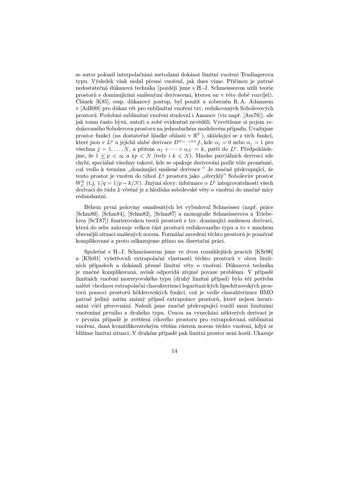se autor pokusil interpolačními metodami dokázat limitní vnoření Trudingerova typu. Výsledek však nedal přesné vnoření, jak dnes víme. Příčinou je patrně nedostatečná důkazová technika (později jsme s H.-J. Schmeisserem užili teorie prostor˚u s dominujícími smíšenými derivacemi, kterou on v této době rozvíjel). Článek [K85], resp. důkazový postup, byl použit a zobecněn R.A. Adamsem v [AdR88] pro důkaz vět pro sublimitní vnoření tzv. redukovaných Sobolevových prostor˚u. Podobná sublimitní vnoření studoval i Amanov (viz např. [Am76]), ale jak tomu často bývá, autoři o sobě evidentně nevěděli. Vysvětleme si pojem redukovaného Sobolevova prostoru na jednoduchém modelovém případu. Uvažujme prostor funkcí (na dostatečně hladké oblasti v $\mathbb{R}^N$ ), skládající se z těch funkcí, které jsou v  $L^p$  a jejichž slabé derivace  $D^{\alpha_1,...,\alpha_N}f$ , kde  $\alpha_j=0$  nebo  $\alpha_j=1$  pro všechna  $j = 1, ..., N$ , a přitom  $\alpha_1 + \cdots + \alpha_N = k$ , patří do  $L^p$ . Předpokládejme, že  $1 \leq p < \infty$  a  $kp < N$  (tedy i  $k < N$ ). Mnoho parciálních derivací zde chybí, speciálně všechny takové, kde se opakuje derivování podle téže proměnné, což vedlo k termínu "dominující smíšené derivace" Je značně překvapující, že tento prostor je vnořen do téhož  $L<sup>q</sup>$  prostoru jako "obvyklý" Sobolevův prostor  $W_p^k$  (t.j.  $1/q = 1/p - k/N$ ). Jinými slovy: informace o  $L^p$  integrovatelnosti všech derivací do řádu včetně je z hlediska sobolevské věty o vnoření do značné míry redundantní.

Během první poloviny osmdesátých let vybudoval Schmeisser (např. práce [Schm80], [Schm84], [Schm82], [Schm87] a monografie Schmeisserova a Triebelova [ScT87]) fourierovskou teorii prostorů s tzv. dominující smíšenou derivací, která do sebe zahrnuje velkou část prostorů redukovaného typu a to v mnohem obecnější situaci smíšených norem. Formální zavedení těchto prostorů je poměrně komplikované a proto odkazujeme přímo na disertační práci.

Společně s H.-J. Schmeisserem jsme ve dvou rozsáhlejších pracích [KSr96] a [KSr01] vyšetřovali extrapolační vlastnosti těchto prostorů v obou limitních případech a dokázali přesné limitní věty o vnoření. Důkazová technika je značně komplikovaná, avšak odpovídá zřejmě povaze problému. V případě limitních vnoření morreyovského typu (druhý limitní případ) bylo též potřeba nalézt vhodnou extrapolační charakterizaci logaritmických lipschitzovských prostorů pomocí prostorů hölderovských funkcí, což je vedle charakterizace BMO patrně jediný zatím známý případ extrapolace prostorů, které nejsou invariantní vůči přerovnání. Nalezli jsme značně překvapující rozdíl mezi limitními vnořeními prvního a druhého typu. Cenou za vynechání některých derivací je v prvním případě je zvětšení cílového prostoru pro extrapolovaná sublimitní vnoření, daná kvantifikovatelným větším růstem norem těchto vnoření, když se blížíme limitní situaci. V druhém případě pak limitní prostor není horší. Ukazuje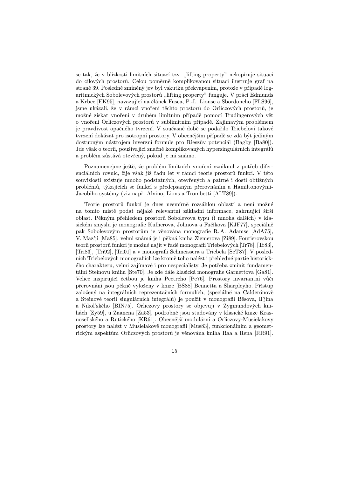se tak, že v blízkosti limitních situací tzv. "lifting property" nekopíruje situaci do cílových prostor˚u. Celou poměrně komplikovanou situaci ilustruje graf na straně 39. Posledně zmíněný jev byl vskutku překvapením, protože v případě logaritmických Sobolevových prostorů "lifting property" funguje. V práci Edmunds a Krbec [EK95], navazující na článek Fusca, P.-L. Lionse a Sbordoneho [FLS96], jsme ukázali, že v rámci vnoření těchto prostorů do Orliczových prostorů, je možné získat vnoření v druhém limitním případě pomocí Trudingerových vět o vnoření Orliczových prostor˚u v sublimitním případě. Zajímavým problémem je pravdivost opačného tvrzení. V současné době se podařilo Triebelovi takové tvrzení dokázat pro isotropní prostory. V obecnějším případě se zdá být jediným dostupným nástrojem inverzní formule pro Rieszův potenciál (Bagby [Ba80]). Jde však o teorii, používající značně komplikovaných hypersingulárních integrálů a problém zůstává otevřený, pokud je mi známo.

Poznamenejme ještě, že problém limitních vnoření vzniknul z potřeb diferenciálních rovnic, žije však již řadu let v rámci teorie prostorů funkcí. V této souvislosti existuje mnoho podstatných, otevřených a patrně i dosti obtížných problém˚u, týkajících se funkcí s předepsaným přerovnáním a Hamiltonovými-Jacobiho systémy (viz např. Alvino, Lions a Trombetti [ALT89]).

Teorie prostorů funkcí je dnes nesmírně rozsáhlou oblastí a není možné na tomto místě podat nějaké relevantní základní informace, zahrnující širší oblast. Pěkným přehledem prostor˚u Sobolevova typu (i mnoha dalších) v klasickém smyslu je monografie Kufnerova, Johnova a Fučíkova [KJF77], speciálně pak Sobolevovým prostorům je věnována monografie R.A. Adamse [AdA75], V. Maz'ji [Ma85], velmi známá je i pěkná kniha Ziemerova [Zi89]. Fourierovskou teorii prostorů funkcí je možné najít v řadě monografií Triebelových [Tr78], [Tr83], [Tri83], [Tri92], [Tri01] a v monografii Schmeissera a Triebela [ScT87]. V posledních Triebelových monografiích lze kromě toho nalézt i přehledné partie historického charakteru, velmi zajímavé i pro nespecialisty. Je potřeba zmínit fundamentální Steinovu knihu [Ste70]. Je zde dále klasická monografie Garnettova [Ga81]. Velice inspirující četbou je kniha Peetreho [Pe76]. Prostory invariantní vůči přerovnání jsou pěkně vyloženy v knize [BS88] Bennetta a Sharpleyho. Přístup založený na integrálních reprezentačních formulích, (speciálně na Calderónově a Steinově teorii singulárních integrálů) je použit v monografii Běsova, Il'jina a Nikol'ského [BIN75]. Orliczovy prostory se objevují v Zygmundových knihách [Zy59], u Zaanena [Za53], podrobně jsou studovány v klasické knize Krasnosel'ského a Rutického [KR61]. Obecnější modulární a Orliczovy-Musielakovy prostory lze nalézt v Musielakově monografii [Mus83], funkcionálním a geometrickým aspektům Orliczových prostorů je věnována kniha Raa a Rena [RR91].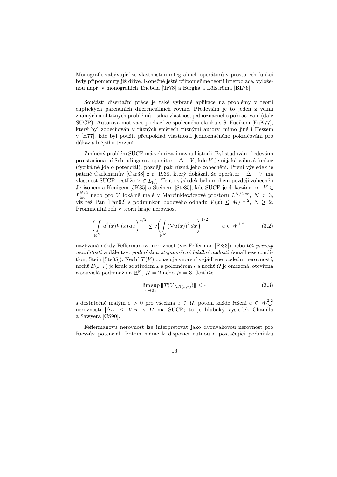Monografie zabývající se vlastnostmi integrálních operátorů v prostorech funkcí byly připomenuty již dříve. Konečně ještě připomeňme teorii interpolace, vyloženou např. v monografiích Triebela [Tr78] a Bergha a Löfströma [BL76].

Součástí disertační práce je také vybrané aplikace na problémy v teorii eliptických parciálních diferenciálních rovnic. Především je to jeden z velmi známých a obtížných problémů – silná vlastnost jednoznačného pokračování (dále SUCP). Autorova motivace pochází ze společného článku s S. Fučíkem [FuK77], který byl zobecňován v různých směrech různými autory, mimo jiné i Hessem v [H77], kde byl použit předpoklad vlastnosti jednoznačného pokračování pro důkaz silnějšího tvrzení.

Zmíněný problém SUCP má velmi zajímavou historii. Byl studován především pro stacionární Schrödingerův operátor  $-\Delta + V$ , kde V je nějaká váhová funkce (fyzikálně jde o potenciál), později pak různá jeho zobecnění. První výsledek je patrně Carlemanův [Car38] z r. 1938, který dokázal, že operátor  $-\Delta + V$ má vlastnost SUCP, jestliže  $V \in L^{\infty}_{\text{loc}}$ . Tento výsledek byl mnohem později zobecněn Jerisonem a Kenigem [JK85] a Steinem [Ste85], kde SUCP je dokázána pro $V\in$  $\sim$  1.4 MeV and 1.4 MeV and 1.4 MeV and 1.4 MeV and 1.4 MeV and 1.4 MeV and 1.4 MeV and 1.4 MeV and 1.4 MeV and 1.4 MeV and 1.4 MeV and 1.4 MeV and 1.4 MeV and 1.4 MeV and 1.4 MeV and 1.4 MeV and 1.4 MeV and 1.4 MeV and  $N/2$  nebo pro *V* lokálně malé v Marcinkiewiczově prostoru  $L^{N/2,\infty}$ ,  $N \geq 3$ , viz též Pan [Pan92] s podmínkou bodového odhadu  $V(x) \leq M/|x|^2, N \geq 2$ . Prominentní roli v teorii hraje nerovnost

$$
\left(\int_{\mathbb{R}^N} u^2(x)V(x)\,dx\right)^{1/2} \le c \left(\int_{\mathbb{R}^N} (\nabla u(x))^2\,dx\right)^{1/2}, \qquad u \in W^{1,2},\tag{3.2}
$$

nazývaná někdy Feffermanova nerovnost (viz Fefferman [Fe83]) nebo též princip neurčitosti a dále tzv. podmínkou stejnoměrné lokální malosti (smallness condition, Stein [Ste85]): Nechť  $T(V)$  označuje vnoření vyjádřené poslední nerovností, nechť  $B(x, r)$  je koule se středem  $x$  a poloměrem  $r$  a necht  $\Omega$  je omezená, otevřená a souvislá podmnožina  $\mathbb{R}^N$ ,  $N = 2$  nebo  $N = 3$ . Jestliže

$$
\limsup_{r \to 0+} \|T(V\chi_{B(x,r)})\| \le \varepsilon \tag{3.3}
$$

s dostatečně malým  $\varepsilon > 0$  pro všechna  $x \in \Omega$ , potom každé řešení  $u \in W^{2,2}_{\mathrm{loc}}$ nerovnosti  $|\Delta u| \leq V |u|$  v  $\Omega$  má SUCP; to je hluboký výsledek Chanilla a Sawyera [CS90].

Feffermanovu nerovnost lze interpretovat jako dvouváhovou nerovnost pro Rieszův potenciál. Potom máme k dispozici nutnou a postačující podmínku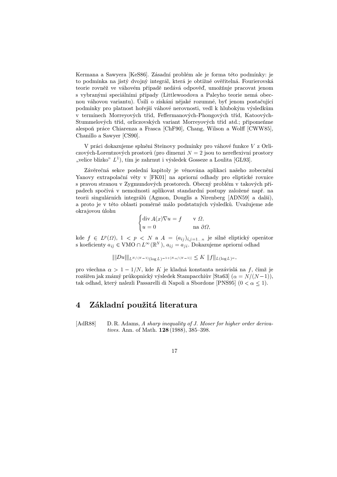Kermana a Sawyera [KeS86]. Zásadní problém ale je forma této podmínky: je to podmínka na jistý dvojný integrál, která je obtížně ověřitelná. Fourierovská teorie rovněž ve váhovém případě nedává odpověd', umožňuje pracovat jenom s vybranými speciálními případy (Littlewoodova a Paleyho teorie nemá obecnou váhovou variantu). Úsilí o získání nějaké rozumné, byt' jenom postačující podmínky pro platnost hořejší váhové nerovnosti, vedl k hlubokým výsledkům v termínech Morreyových tříd, Feffermanových-Phongových tříd, Katoových-Stummelových tříd, orliczovských variant Morreyových tříd atd.; připomeňme alespoň práce Chiarenza a Frasca [ChF90], Chang, Wilson a Wolff [CWW85], Chanillo a Sawyer [CS90].

V práci dokazujeme splněni Steinovy podmínky pro váhové funkce z Orliczových-Lorentzových prostorů (pro dimenzi  $N = 2$  jsou to nereflexivní prostory "velice blízko"  $L^1$ ), tím je zahrnut i výsledek Gosseze a Loulita [GL93].

Závěrečná sekce poslední kapitoly je věnována aplikaci našeho zobecnění Yanovy extrapolační věty v [FK01] na apriorní odhady pro eliptické rovnice s pravou stranou v Zygmundových prostorech. Obecný problém v takových případech spočívá v nemožnosti aplikovat standardní postupy založené např. na teorii singulárních integrálů (Agmon, Douglis a Nirenberg [ADN59] a další), a proto je v této oblasti poměrně málo podstatných výsledk˚u. Uvažujeme zde okrajovou úlohu

$$
\begin{cases} \operatorname{div} A(x) \nabla u = f & \text{v } \Omega, \\ u = 0 & \text{na } \partial \Omega, \end{cases}
$$

kde  $f \in L^p(\Omega), 1 < p < N$  a  $A = (a_{ij})_{i,j=1...n}$  je silně eliptický operátor s koeficienty  $a_{ij} \in VMO \cap L^{\infty}(\mathbb{R}^N)$ ,  $a_{ij} = a_{ji}$ . Dokazujeme apriorní odhad

$$
\||Du|\|_{L^{N/(N-1)}(\log L)^{-1+[N\alpha/(N-1)]}} \leq K \|f\|_{L(\log L)^{\alpha}},
$$

pro všechna  $\alpha > 1 - 1/N$ , kde K je kladná konstanta nezávislá na f, čímž je rozšířen jak známý průkopnický výsledek Stampacchiův [Sta63]  $(\alpha = N/(N-1)),$ tak odhad, který nalezli Passarelli di Napoli a Sbordone [PNS95]  $(0 < \alpha \leq 1)$ .

### 4 Základní použitá literatura

[AdR88] D. R. Adams, A sharp inequality of J. Moser for higher order derivatives. Ann. of Math. 128 (1988), 385–398.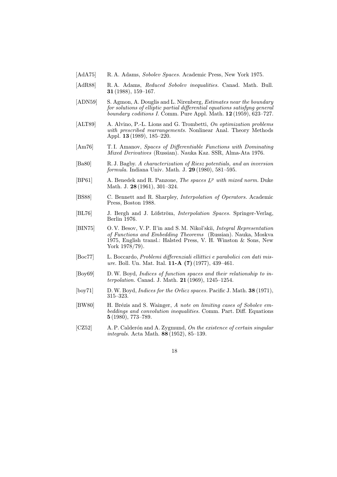- [AdA75] R. A. Adams, Sobolev Spaces. Academic Press, New York 1975.
- [AdR88] R. A. Adams, Reduced Sobolev inequalities. Canad. Math. Bull. 31 (1988), 159–167.
- [ADN59] S. Agmon, A. Douglis and L. Nirenberg, *Estimates near the boundary* for solutions of elliptic partial differential equations satisfyng general boundary coditions I. Comm. Pure Appl. Math. 12 (1959), 623–727.
- [ALT89] A. Alvino, P.-L. Lions and G. Trombetti, On optimization problems with prescribed rearrangements. Nonlinear Anal. Theory Methods Appl. 13 (1989), 185–220.
- [Am76] T. I. Amanov, Spaces of Differentiable Functions with Dominating Mixed Derivatives (Russian). Nauka Kaz. SSR, Alma-Ata 1976.
- [Ba80] R. J. Bagby. A characterization of Riesz potentials, and an inversion formula. Indiana Univ. Math. J. 29 (1980), 581–595.
- $[BP61]$  A. Benedek and R. Panzone, *The spaces*  $L^p$  *with mixed norm.* Duke Math. J. 28 (1961), 301–324.
- [BS88] C. Bennett and R. Sharpley, Interpolation of Operators. Academic Press, Boston 1988.
- [BL76] J. Bergh and J. Löfström, Interpolation Spaces. Springer-Verlag, Berlin 1976.
- [BIN75] O. V. Besov, V. P. Il'in and S. M. Nikol'skii, Integral Representation of Functions and Embedding Theorems (Russian). Nauka, Moskva 1975, English transl.: Halsted Press, V. H. Winston & Sons, New York 1978/79).
- [Boc77] L. Boccardo, Problemi differenziali ellittici e parabolici con dati misure. Boll. Un. Mat. Ital. **11-A** (7) (1977), 439-461.
- [Boy69] D.W. Boyd, Indices of function spaces and their relationship to interpolation. Canad. J. Math. 21 (1969), 1245–1254.
- [boy71] D.W. Boyd, *Indices for the Orlicz spaces*. Pacific J. Math. **38** (1971), 315–323.
- [BW80] H. Brézis and S. Wainger, A note on limiting cases of Sobolev embeddings and convolution inequalities. Comm. Part. Diff. Equations 5 (1980), 773–789.
- [CZ52] A. P. Calderón and A. Zygmund, On the existence of certain singular integrals. Acta Math. 88 (1952), 85–139.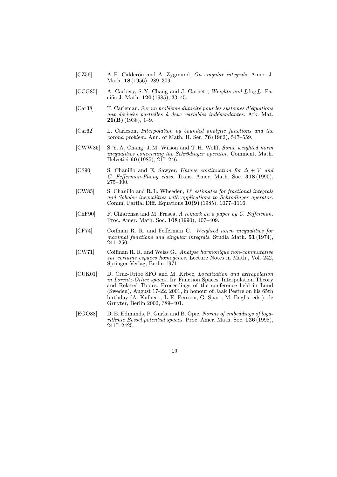- [CZ56] A. P. Calderón and A. Zygmund, On singular integrals. Amer. J. Math. **18** (1956), 289–309.
- [CCG85] A. Carbery, S.Y. Chang and J. Garnett, Weights and  $L \log L$ . Pacific J. Math. 120 (1985), 33–45.
- [Car38] T. Carleman, Sur un problème dúnicité pour les systèmes d'équations aux dérivées partielles à deux variables indépendantes. Ark. Mat.  $26(B)$  (1938), 1–9.
- [Car62] L. Carleson, Interpolation by bounded analytic functions and the corona problem. Ann. of Math. II. Ser. 76 (1962), 547–559.
- [CWW85] S. Y. A. Chang, J. M. Wilson and T. H. Wolff, Some weighted norm inequalities concerning the Schrödinger operator. Comment. Math. Helvetici 60 (1985), 217–246.
- [CS90] S. Chanillo and E. Sawyer, Unique continuation for  $\Delta + V$  and C. Fefferman-Phong class. Trans. Amer. Math. Soc. 318 (1990), 275–300.
- [CW85] S. Chanillo and R.L. Wheeden,  $L^p$  estimates for fractional integrals and Sobolev inequalities with applications to Schrödinger operator. Comm. Partial Diff. Equations 10(9) (1985), 1077–1116.
- [ChF90] F. Chiarenza and M. Frasca, A remark on a paper by C. Fefferman. Proc. Amer. Math. Soc. 108 (1990), 407–409.
- [CF74] Coifman R. R. and Fefferman C., Weighted norm inequalities for maximal functions and singular integrals. Studia Math. 51 (1974), 241–250.
- [CW71] Coifman R. R. and Weiss G., Analyse harmonique non-commutative sur certains espaces homogènes. Lecture Notes in Math., Vol. 242, Springer-Verlag, Berlin 1971.
- [CUK01] D. Cruz-Uribe SFO and M. Krbec, Localization and extrapolation in Lorentz-Orlicz spaces. In: Function Spaces, Interpolation Theory and Related Topics. Proceedings of the conference held in Lund (Sweden), August 17-22, 2001, in honour of Jaak Peetre on his 65th birthday (A. Kufner, , L. E. Persson, G. Sparr, M. Englis, eds.). de Gruyter, Berlin 2002, 389–401.
- [EGO88] D. E. Edmunds, P. Gurka and B. Opic, Norms of embeddings of logarithmic Bessel potential spaces. Proc. Amer. Math. Soc. 126 (1998), 2417–2425.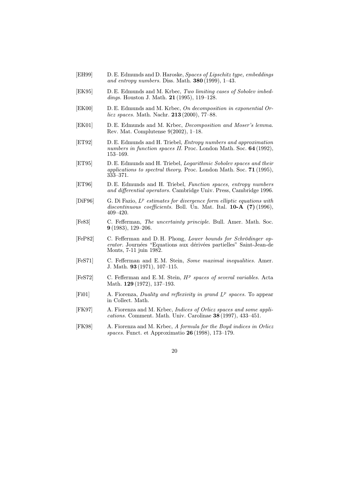- [EH99] D. E. Edmunds and D. Haroske, Spaces of Lipschitz type, embeddings and entropy numbers. Diss. Math.  $380(1999)$ , 1–43.
- [EK95] D. E. Edmunds and M. Krbec, Two limiting cases of Sobolev imbeddings. Houston J. Math. **21** (1995), 119-128.
- [EK00] D. E. Edmunds and M. Krbec, On decomposition in exponential Orlicz spaces. Math. Nachr. 213 (2000), 77–88.
- [EK01] D. E. Edmunds and M. Krbec, Decomposition and Moser's lemma. Rev. Mat. Complutense 9(2002), 1–18.
- [ET92] D. E. Edmunds and H. Triebel, Entropy numbers and approximation numbers in function spaces II. Proc. London Math. Soc. 64 (1992), 153–169.
- [ET95] D. E. Edmunds and H. Triebel, Logarithmic Sobolev spaces and their applications to spectral theory. Proc. London Math. Soc. 71 (1995), 333–371.
- [ET96] D. E. Edmunds and H. Triebel, Function spaces, entropy numbers and differential operators. Cambridge Univ. Press, Cambridge 1996.
- $[\text{DiF96}]$  G. Di Fazio,  $L^p$  estimates for divergence form elliptic equations with discontinuous coefficients. Boll. Un. Mat. Ital. 10-A (7) (1996), 409–420.
- [Fe83] C. Fefferman, The uncertainty principle. Bull. Amer. Math. Soc. 9 (1983), 129–206.
- [FeP82] C. Fefferman and D. H. Phong, Lower bounds for Schrödinger operator. Journées "Equations aux dérivées partielles" Saint-Jean-de Monts, 7-11 juin 1982.
- [FeS71] C. Fefferman and E. M. Stein, Some maximal inequalities. Amer. J. Math. 93 (1971), 107–115.
- [FeS72] C. Fefferman and E.M. Stein,  $H^p$  spaces of several variables. Acta Math. 129 (1972), 137–193.
- [Fi01] A. Fiorenza, *Duality and reflexivity in grand*  $L^p$  spaces. To appear in Collect. Math.
- [FK97] A. Fiorenza and M. Krbec, Indices of Orlicz spaces and some applications. Comment. Math. Univ. Carolinae 38 (1997), 433–451.
- [FK98] A. Fiorenza and M. Krbec, A formula for the Boyd indices in Orlicz spaces. Funct. et Approximatio 26 (1998), 173–179.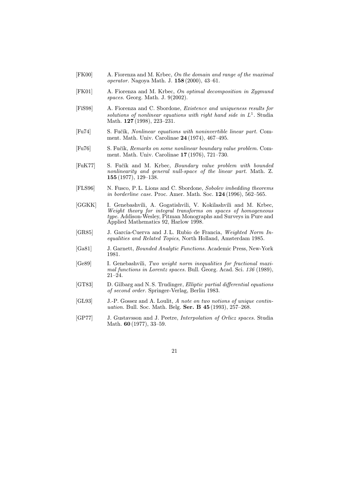- [FK00] A. Fiorenza and M. Krbec, On the domain and range of the maximal operator. Nagoya Math. J. 158 (2000), 43–61.
- [FK01] A. Fiorenza and M. Krbec, On optimal decomposition in Zygmund spaces. Georg. Math. J. 9(2002).
- [FiS98] A. Fiorenza and C. Sbordone, Existence and uniqueness results for solutions of nonlinear equations with right hand side in  $L^1$ . Studia Math. **127** (1998), 223-231.
- [Fu74] S. Fučík, Nonlinear equations with noninvertible linear part. Comment. Math. Univ. Carolinae 24 (1974), 467–495.
- [Fu76] S. Fučík, Remarks on some nonlinear boundary value problem. Comment. Math. Univ. Carolinae 17 (1976), 721–730.
- [FuK77] S. Fučík and M. Krbec, Boundary value problem with bounded nonlinearity and general null-space of the linear part. Math. Z. 155 (1977), 129–138.
- [FLS96] N. Fusco, P. L. Lions and C. Sbordone, Sobolev imbedding theorems in borderline case. Proc. Amer. Math. Soc. **124** (1996), 562–565.
- [GGKK] I. Genebashvili, A. Gogatishvili, V. Kokilashvili and M. Krbec, Weight theory for integral transforms on spaces of homogeneous type. Addison-Wesley, Pitman Monographs and Surveys in Pure and Applied Mathematics 92, Harlow 1998.
- [GR85] J. García-Cuerva and J. L. Rubio de Francia, Weighted Norm Inequalities and Related Topics, North Holland, Amsterdam 1985.
- [Ga81] J. Garnett, Bounded Analytic Functions. Academic Press, New-York 1981.
- [Ge89] I. Genebashvili, Two weight norm inequalities for fractional maximal functions in Lorentz spaces. Bull. Georg. Acad. Sci. 136 (1989),  $21-24.$
- [GT83] D. Gilbarg and N. S. Trudinger, Elliptic partial differential equations of second order. Springer-Verlag, Berlin 1983.
- [GL93] J.-P. Gossez and A. Loulit, A note on two notions of unique continuation. Bull. Soc. Math. Belg. Ser. B 45 (1993), 257–268.
- [GP77] J. Gustavsson and J. Peetre, Interpolation of Orlicz spaces. Studia Math. **60** (1977), 33–59.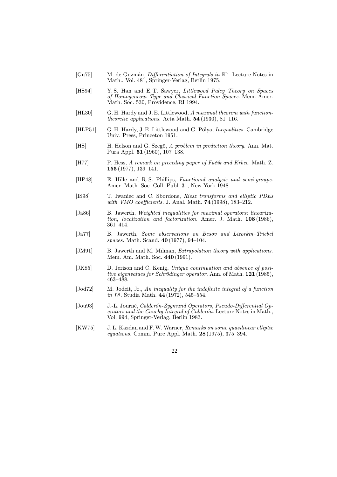- [Gu75] M. de Guzmán, *Differentiation of Integrals in*  $\mathbb{R}^n$ . Lecture Notes in Math., Vol. 481, Springer-Verlag, Berlin 1975.
- [HS94] Y.S. Han and E.T. Sawyer, *Littlewood–Paley Theory on Spaces* of Homogeneous Type and Classical Function Spaces. Mem. Amer. Math. Soc. 530, Providence, RI 1994.
- [HL30] G. H. Hardy and J. E. Littlewood, A maximal theorem with function*theoretic applications.* Acta Math.  $54 (1930), 81-116.$
- [HLP51] G. H. Hardy, J. E. Littlewood and G. Pólya, *Inequalities*. Cambridge Univ. Press, Princeton 1951.
- [HS] H. Helson and G. Szegő, A problem in prediction theory. Ann. Mat. Pura Appl. 51 (1960), 107–138.
- [H77] P. Hess, A remark on preceding paper of Fučík and Krbec. Math. Z. 155 (1977), 139–141.
- [HP48] E. Hille and R. S. Phillips, Functional analysis and semi-groups. Amer. Math. Soc. Coll. Publ. 31, New York 1948.
- [IS98] T. Iwaniec and C. Sbordone, Riesz transforms and elliptic PDEs with *VMO* coefficients. J. Anal. Math. **74** (1998), 183-212.
- [Ja86] B. Jawerth, Weighted inequalities for maximal operators: linearization, localization and factorization. Amer. J. Math. 108 (1986), 361–414.
- [Ja77] B. Jawerth, Some observations on Besov and Lizorkin–Triebel spaces. Math. Scand. 40 (1977), 94–104.
- [JM91] B. Jawerth and M. Milman, *Extrapolation theory with applications*. Mem. Am. Math. Soc. 440 (1991).
- [JK85] D. Jerison and C. Kenig, Unique continuation and absence of positive eigenvalues for Schrödinger operator. Ann. of Math. 121 (1985), 463–488.
- [Jod72] M. Jodeit, Jr., An inequality for the indefinite integral of a function in  $L^q$ . Studia Math. 44 (1972), 545–554.
- [Jou93] J.-L. Journé, Calderón-Zygmund Operators, Pseudo-Differential Operators and the Cauchy Integral of Calderón. Lecture Notes in Math., Vol. 994, Springer-Verlag, Berlin 1983.
- [KW75] J. L. Kazdan and F.W. Warner, Remarks on some quasilinear elliptic equations. Comm. Pure Appl. Math. 28 (1975), 375–394.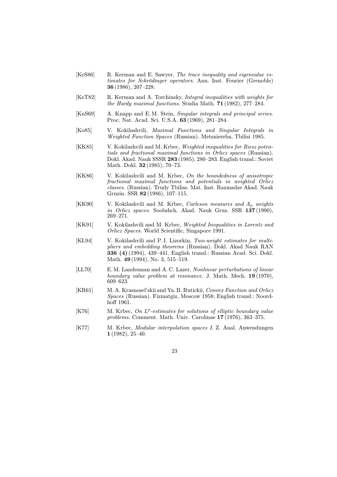- [KeS86] R. Kerman and E. Sawyer, The trace inequality and eigenvalue estimates for Schrödinger operators. Ann. Inst. Fourier (Grenoble) 36 (1986), 207–228.
- [KeT82] R. Kerman and A. Torchinsky, Integral inequalities with weights for the Hardy maximal functions. Studia Math. 71 (1982), 277–284.
- [KnS69] A. Knapp and E.M. Stein, Singular integrals and principal series. Proc. Nat. Acad. Sci. U.S.A. 63 (1969), 281–284.
- [Ko85] V. Kokilashvili, Maximal Functions and Singular Integrals in Weighted Function Spaces (Russian). Metsniereba, Tbilisi 1985.
- [KK85] V. Kokilashvili and M. Krbec, Weighted inequalities for Riesz potentials and fractional maximal functions in Orlicz spaces (Russian). Dokl. Akad. Nauk SSSR 283 (1985), 280–283. English transl.: Soviet Math. Dokl. 32 (1985), 70–73.
- [KK86] V. Kokilashvili and M. Krbec, On the boundedness of anisotropic fractional maximal functions and potentials in weighted Orlicz classes. (Russian). Trudy Tbiliss. Mat. Inst. Razmadze Akad. Nauk Gruzin. SSR 82 (1986), 107–115.
- [KK90] V. Kokilashvili and M. Krbec, *Carleson measures and*  $A_p$  weights in Orlicz spaces. Soobshch. Akad. Nauk Gruz. SSR 137 (1990), 269–271.
- [KK91] V. Kokilashvili and M. Krbec, Weighted Inequalities in Lorentz and Orlicz Spaces. World Scientific, Singapore 1991.
- [KL94] V. Kokilashvili and P.I. Lizorkin, Two-weight estimates for multipliers and embedding theorems (Russian). Dokl. Akad Nauk RAN 336 (4) (1994), 439–441. English transl.: Russian Acad. Sci. Dokl. Math. 49 (1994), No. 3, 515–519.
- [LL70] E. M. Landesman and A. C. Lazer, Nonlinear perturbations of linear boundary value problem at resonance. J. Math. Mech. 19 (1970), 609–623.
- [KR61] M. A. Krasnosel'skii and Ya. B. Rutickii, Convex Function and Orlicz Spaces (Russian). Fizmatgiz, Moscow 1958; English transl.: Noordhoff 1961.
- [K76] M. Krbec, On  $L^p$ -estimates for solutions of elliptic boundary value problems. Comment. Math. Univ. Carolinae 17 (1976), 363–375.
- [K77] M. Krbec, Modular interpolation spaces I. Z. Anal. Anwendungen 1 (1982), 25–40.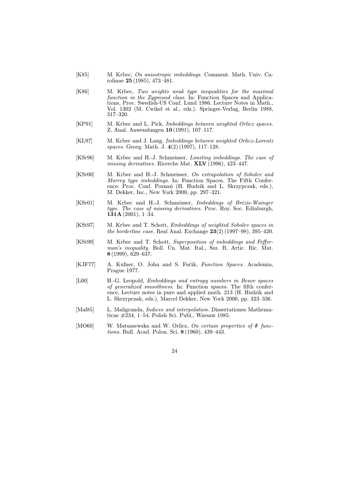- [K85] M. Krbec, On anisotropic imbeddings. Comment. Math. Univ. Carolinae 25 (1985), 473–481.
- [K86] M. Krbec, Two weights weak type inequalities for the maximal function in the Zygmund class. In: Function Spaces and Applications, Proc. Swedish-US Conf. Lund 1986. Lecture Notes in Math., Vol. 1302 (M. Cwikel et al., eds.). Springer-Verlag, Berlin 1988, 317–320.
- [KP91] M. Krbec and L. Pick, *Imbeddings between weighted Orlicz spaces*. Z. Anal. Anwendungen 10 (1991), 107–117.
- [KL97] M. Krbec and J. Lang, Imbeddings between weighted Orlicz-Lorentz spaces. Georg. Math. J. 4(2) (1997), 117–128.
- [KSr96] M. Krbec and H.-J. Schmeisser, Limiting imbeddings. The case of missing derivatives. Ricerche Mat. XLV (1996), 423–447.
- [KSr00] M. Krbec and H.-J. Schmeisser, On extrapolation of Sobolev and Morrey type imbeddings. In: Function Spaces. The Fifth Conference: Proc. Conf. Poznań (H. Hudzik and L. Skrzypczak, eds.), M. Dekker, Inc., New York 2000, pp. 297–321.
- [KSr01] M. Krbec and H.-J. Schmeisser, Imbeddings of Brézis-Wainger type. The case of missing derivatives. Proc. Roy. Soc. Edinburgh,  $131A(2001), 1-34.$
- [KSt97] M. Krbec and T. Schott, Embeddings of weighted Sobolev spaces in the borderline case. Real Anal. Exchange 23(2) (1997–98), 395–420.
- [KSt99] M. Krbec and T. Schott, Superposition of imbeddings and Fefferman's inequality. Boll. Un. Mat. Ital., Sez. B, Artic. Ric. Mat. 8 (1999), 629–637.
- [KJF77] A. Kufner, O. John and S. Fučík, Function Spaces. Academia, Prague 1977.
- [L00] H.-G. Leopold, Embeddings and entropy numbers in Besov spaces of generalized smoothness. In: Function spaces. The fifth conference, Lecture notes in pure and applied math. 213 (H. Hudzik and L. Skrzypczak, eds.), Marcel Dekker, New York 2000, pp. 323–336.
- [Mal85] L. Maligranda, *Indices and interpolation*. Dissertationes Mathematicae #234, 1–54. Polish Sci. Publ., Warsaw 1985.
- [MO60] W. Matuszewska and W. Orlicz, *On certain properties of*  $\Phi$  functions. Bull. Acad. Polon. Sci. 8 (1960), 439–443.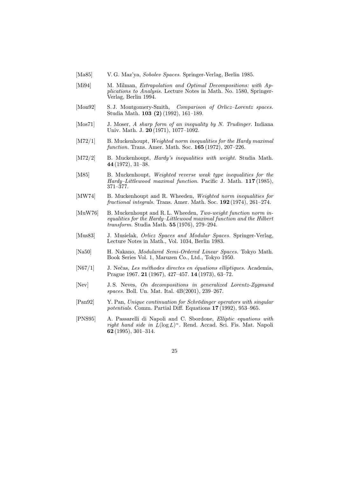- [Ma85] V. G. Maz'ya, Sobolev Spaces. Springer-Verlag, Berlin 1985.
- [Mi94] M. Milman, *Extrapolation and Optimal Decompositions: with Ap*plications to Analysis. Lecture Notes in Math. No. 1580, Springer-Verlag, Berlin 1994.
- [Mon92] S.J. Montgomery-Smith, Comparison of Orlicz–Lorentz spaces. Studia Math. 103 (2) (1992), 161–189.
- [Mos71] J. Moser, A sharp form of an inequality by N. Trudinger. Indiana Univ. Math. J. 20 (1971), 1077–1092.
- [M72/1] B. Muckenhoupt, Weighted norm inequalities for the Hardy maximal function. Trans. Amer. Math. Soc. 165 (1972), 207–226.
- [M72/2] B. Muckenhoupt, *Hardy's inequalities with weight*. Studia Math. 44 (1972), 31–38.
- [M85] B. Muckenhoupt, Weighted reverse weak type inequalities for the Hardy–Littlewood maximal function. Pacific J. Math. 117 (1985), 371–377.
- [MW74] B. Muckenhoupt and R. Wheeden, Weighted norm inequalities for fractional integrals. Trans. Amer. Math. Soc. 192 (1974), 261–274.
- [MuW76] B. Muckenhoupt and R.L. Wheeden, Two-weight function norm inequalities for the Hardy–Littlewood maximal function and the Hilbert transform. Studia Math. 55 (1976), 279–294.
- [Mus83] J. Musielak, Orlicz Spaces and Modular Spaces. Springer-Verlag, Lecture Notes in Math., Vol. 1034, Berlin 1983.
- [Na50] H. Nakano, Modulared Semi-Ordered Linear Spaces. Tokyo Math. Book Series Vol. 1, Maruzen Co., Ltd., Tokyo 1950.
- [N67/1] J. Nečas, Les méthodes directes en équations elliptiques. Academia, Prague 1967. 21 (1967), 427–457. 14 (1973), 63–72.
- [Nev] J. S. Neves, On decompositions in generalized Lorentz-Zygmund spaces. Boll. Un. Mat. Ital. 4B(2001), 239–267.
- [Pan92] Y. Pan, Unique continuation for Schrödinger operators with singular potentials. Comm. Partial Diff. Equations 17 (1992), 953–965.
- [PNS95] A. Passarelli di Napoli and C. Sbordone, Elliptic equations with right hand side in  $\bar{L}(\log L)^\alpha$ . Rend. Accad. Sci. Fis. Mat. Napoli 62 (1995), 301–314.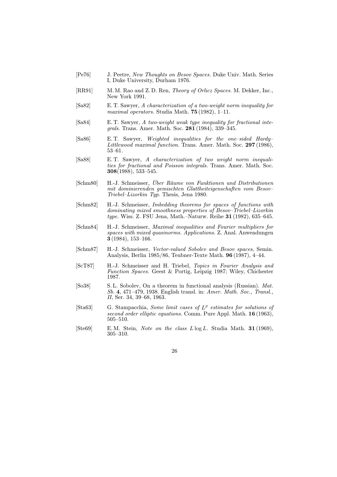- [Pe76] J. Peetre, New Thoughts on Besov Spaces. Duke Univ. Math. Series I, Duke University, Durham 1976.
- [RR91] M. M. Rao and Z. D. Ren, Theory of Orlicz Spaces. M. Dekker, Inc., New York 1991.
- [Sa82] E. T. Sawyer, A characterization of a two-weight norm inequality for maximal operators. Studia Math. 75 (1982), 1–11.
- [Sa84] E. T. Sawyer, A two-weight weak type inequality for fractional integrals. Trans. Amer. Math. Soc. 281 (1984), 339–345.
- [Sa86] E. T. Sawyer, Weighted inequalities for the one–sided Hardy– Littlewood maximal function. Trans. Amer. Math. Soc. 297 (1986), 53–61.
- [Sa88] E. T. Sawyer, A characterization of two weight norm inequalities for fractional and Poisson integrals. Trans. Amer. Math. Soc. 308(1988), 533–545.
- [Schm80] H.-J. Schmeisser, Über Räume von Funktionen und Distributionen mit dominierenden gemischten Glattheiteigenschaften vom Besov– Triebel–Lizorkin Typ. Thesis, Jena 1980.
- [Schm82] H.-J. Schmeisser, Imbedding theorems for spaces of functions with dominating mixed smoothness properties of Besov–Triebel–Lizorkin type. Wiss. Z. FSU Jena, Math.–Naturw. Reihe 31 (1982), 635–645.
- [Schm84] H.-J. Schmeisser, Maximal inequalities and Fourier multipliers for spaces with mixed quasinorms. Applications. Z. Anal. Anwendungen 3 (1984), 153–166.
- [Schm87] H.-J. Schmeisser, Vector-valued Sobolev and Besov spaces, Semin. Analysis, Berlin 1985/86, Teubner-Texte Math. 96 (1987), 4–44.
- [ScT87] H.-J. Schmeisser and H. Triebel, Topics in Fourier Analysis and Function Spaces. Geest & Portig, Leipzig 1987; Wiley, Chichester 1987.
- [So38] S. L. Sobolev, On a theorem in functional analysis (Russian). Mat. Sb. 4, 471–479, 1938. English transl. in: Amer. Math. Soc., Transl., II, Ser. 34, 39–68, 1963.
- [Sta63] G. Stampacchia, Some limit cases of  $L^p$  estimates for solutions of second order elliptic equations. Comm. Pure Appl. Math. 16 (1963), 505–510.
- [Ste69] E.M. Stein, Note on the class  $L \log L$ . Studia Math. 31 (1969), 305–310.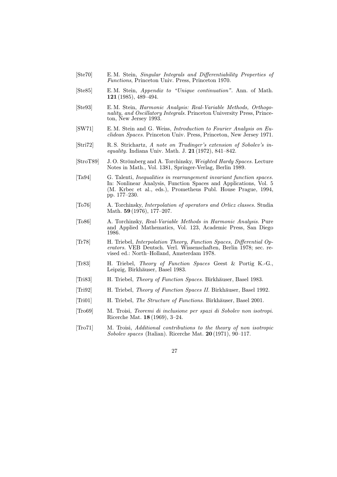- [Ste70] E. M. Stein, Singular Integrals and Differentiability Properties of Functions, Princeton Univ. Press, Princeton 1970.
- [Ste85] E. M. Stein, Appendix to "Unique continuation". Ann. of Math. 121 (1985), 489–494.
- [Ste93] E. M. Stein, Harmonic Analysis: Real-Variable Methods, Orthogonality, and Oscillatory Integrals. Princeton University Press, Princeton, New Jersey 1993.
- [SW71] E. M. Stein and G. Weiss, Introduction to Fourier Analysis on Euclidean Spaces. Princeton Univ. Press, Princeton, New Jersey 1971.
- [Stri72] R. S. Strichartz, A note on Trudinger's extension of Sobolev's inequality. Indiana Univ. Math. J. 21 (1972), 841–842.
- [StroT89] J. O. Strömberg and A. Torchinsky, Weighted Hardy Spaces. Lecture Notes in Math., Vol. 1381, Springer-Verlag, Berlin 1989.
- [Ta94] G. Talenti, Inequalities in rearrangement invariant function spaces. In: Nonlinear Analysis, Function Spaces and Applications, Vol. 5 (M. Krbec et al., eds.), Prometheus Publ. House Prague, 1994, pp. 177–230.
- [To76] A. Torchinsky, Interpolation of operators and Orlicz classes. Studia Math. 59 (1976), 177–207.
- [To86] A. Torchinsky, Real-Variable Methods in Harmonic Analysis. Pure and Applied Mathematics, Vol. 123, Academic Press, San Diego 1986.
- [Tr78] H. Triebel, Interpolation Theory, Function Spaces, Differential Operators. VEB Deutsch. Verl. Wissenschaften, Berlin 1978; sec. revised ed.: North–Holland, Amsterdam 1978.
- [Tr83] H. Triebel, Theory of Function Spaces Geest & Portig K.-G., Leipzig, Birkhäuser, Basel 1983.
- [Tri83] H. Triebel, Theory of Function Spaces. Birkhäuser, Basel 1983.
- [Tri92] H. Triebel, Theory of Function Spaces II. Birkhäuser, Basel 1992.
- [Tri01] H. Triebel, The Structure of Functions. Birkhäuser, Basel 2001.
- [Tro69] M. Troisi, Teoremi di inclusione per spazi di Sobolev non isotropi. Ricerche Mat. 18 (1969), 3–24.
- [Tro71] M. Troisi, Additional contributions to the theory of non isotropic Sobolev spaces (Italian). Ricerche Mat. 20 (1971), 90–117.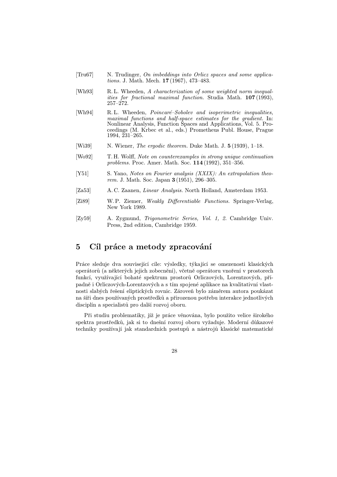- [Tru67] N. Trudinger, On imbeddings into Orlicz spaces and some applications. J. Math. Mech. 17 (1967), 473–483.
- [Wh93] R. L. Wheeden, A characterization of some weighted norm inequalities for fractional maximal function. Studia Math. 107 (1993),  $257 - 272.$
- [Wh94] R. L. Wheeden, Poincaré–Sobolev and isoperimetric inequalities, maximal functions and half-space estimates for the gradient. In: Nonlinear Analysis, Function Spaces and Applications, Vol. 5. Proceedings (M. Krbec et al., eds.) Prometheus Publ. House, Prague 1994, 231–265.
- [Wi39] N. Wiener, *The ergodic theorem*. Duke Math. J. 5 (1939), 1–18.
- [Wo92] T. H. Wolff, Note on counterexamples in strong unique continuation problems. Proc. Amer. Math. Soc. 114 (1992), 351–356.
- [Y51] S. Yano, Notes on Fourier analysis (XXIX): An extrapolation theorem. J. Math. Soc. Japan 3 (1951), 296–305.
- [Za53] A. C. Zaanen, Linear Analysis. North Holland, Amsterdam 1953.
- [Zi89] W. P. Ziemer, Weakly Differentiable Functions. Springer-Verlag, New York 1989.
- [Zy59] A. Zygmund, Trigonometric Series, Vol. 1, 2. Cambridge Univ. Press, 2nd edition, Cambridge 1959.

## 5 Cíl práce a metody zpracování

Práce sleduje dva související cíle: výsledky, týkající se omezenosti klasických operátor˚u (a některých jejich zobecnění), včetně operátoru vnoření v prostorech funkcí, využívající bohaté spektrum prostorů Orliczových, Lorentzových, případně i Orliczových-Lorentzových a s tím spojené aplikace na kvalitativní vlastnosti slabých řešení eliptických rovnic. Zároveň bylo záměrem autora poukázat na šíři dnes používaných prostředků a přirozenou potřebu interakce jednotlivých disciplín a specialistů pro další rozvoj oboru.

Při studiu problematiky, jíž je práce věnována, bylo použito velice širokého spektra prostředků, jak si to dnešní rozvoj oboru vyžaduje. Moderní důkazové techniky používají jak standardních postupů a nástrojů klasické matematické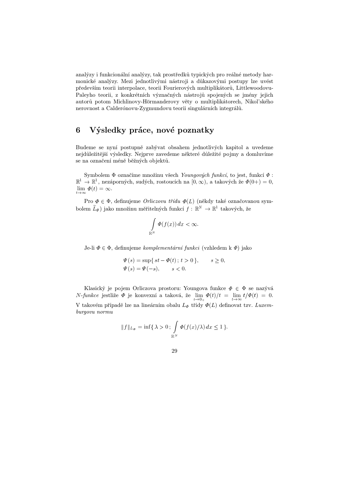analýzy i funkcionální analýzy, tak prostředků typických pro reálné metody harmonické analýzy. Mezi jednotlivými nástroji a důkazovými postupy lze uvést především teorii interpolace, teorii Fourierových multiplikátorů, Littlewoodovu-Paleyho teorii, z konkrétních význačných nástrojů spojených se jmény jejich autorů potom Michlinovy-Hörmanderovy věty o multiplikátorech, Nikol'ského nerovnost a Calderónovu-Zygmundovu teorii singulárních integrálů.

## 6 Výsledky práce, nové poznatky

Budeme se nyní postupně zabývat obsahem jednotlivých kapitol a uvedeme nejdůležitější výsledky. Nejprve zavedeme některé důležité pojmy a domluvíme se na označení méně běžných objektů.

Symbolem  $\Phi$  označíme množinu všech Youngových funkcí, to jest, funkcí  $\Phi$ : :  $\mathbb{R}^1 \to \mathbb{R}^1$ , nezáporných, sudých, rostoucích na  $[0, \infty)$ , a takových že  $\varPhi(0+) = 0$ ,  $\lim_{t\to\infty}\Phi(t)=\infty.$ 

Pro  $\Phi \in \Phi$ , definujeme *Orliczovu třídu*  $\Phi(L)$  (někdy také označovanou symbolem  $L_{\varPhi}$ ) jako množinu měřitelných funkcí  $f: \mathbb{R}^N \to \mathbb{R}^1$  takových, že

$$
\int\limits_{\mathbb{R}^N}\Phi(f(x))\,dx < \infty.
$$

Je-li  $\Phi \in \Phi$ , definujeme *komplementární funkci* (vzhledem k  $\Phi$ ) jako

$$
\Psi(s) = \sup\{ st - \Phi(t) ; t > 0 \}, \qquad s \ge 0,
$$
  

$$
\Psi(s) = \Psi(-s), \qquad s < 0.
$$

Klasický je pojem Orliczova prostoru: Youngova funkce  $\Phi \,\in\, \Phi$  se nazývá  $N$ -funkce jestliže  $\Phi$  je konvexní a taková, že  $\lim_{t\to 0_+}\Phi(t)/t = \lim_{t\to\infty}t/\Phi(t) = 0$ . V takovém případě lze na lineárním obalu  $L_{\Phi}$  třídy  $\varPhi(L)$  definovat tzv. Luxemburgovu normu

$$
||f||_{L_{\Phi}} = \inf \{ \lambda > 0 : \int_{\mathbb{R}^N} \Phi(f(x)/\lambda) dx \le 1 \}.
$$

29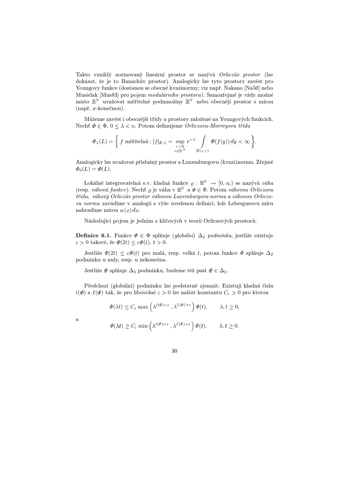Takto vzniklý normovaný lineární prostor se nazývá Orliczův prostor (lze dokázat, že je to Banachův prostor). Analogicky lze tyto prostory zavést pro Youngovy funkce (dostanou se obecně kvazinormy; viz např. Nakano [Na50] nebo Musielak [Mus83] pro pojem modulárního prostoru). Samozřejmě je vždy možné místo  $\mathbb{R}^N$  uvažovat měřitelné podmnožiny  $\mathbb{R}^N$  nebo obecněji prostor s mírou (např.  $\sigma$ -konečnou).

Můžeme zavést i obecnější třídy a prostory založené na Youngových funkcích. Nechť  $\Phi \in \Phi$ ,  $0 \leq \lambda < n$ . Potom definujeme *Orliczovu-Morreyovu třídu* 

$$
\Phi_{\lambda}(L) = \left\{ f \text{ měřitelná}; \, |f|_{\Phi,\lambda} = \sup_{\substack{r>0\\z \in \mathbb{R}^N}} r^{-\lambda} \int\limits_{B(z,r)} \Phi(f(y)) \, dy < \infty \right\}.
$$

Analogicky lze uvažovat příslušný prostor a Luxemburgovu (kvazi)normu. Zřejmě  $\Phi_0(L) = \Phi(L).$ 

Lokálně integrovatelná s.v. kladná funkce  $\varrho : \mathbb{R}^N \to [0, \infty)$  se nazývá váha (resp. váhová funkce). Nechť  $\varrho$  je váha v  $\mathbb{R}^N$  a  $\Phi \in \Phi$ . Potom váhovou Orliczovu třídu, váhový Orliczův prostor váhovou Luxemburgovu normu a váhovou Orliczovu normu zavádíme v analogii s výše uvedenou definicí, kde Lebesgueovu míru nahradíme mírou  $w(x) dx$ .

Následující pojem je jedním z klíčových v teorii Orliczových prostorů.

**Definice 6.1.** Funkce  $\Phi \in \Phi$  splňuje (globální)  $\Delta_2$  podmínku, jestliže existuje  $c > 0$  takové, že  $\Phi(2t) \leq c\Phi(t)$ ,  $t > 0$ .

Jestliže  $\Phi(2t) \leq c\Phi(t)$  pro malá, resp. velká t, potom funkce  $\Phi$  splňuje  $\Delta_2$ -podmínku u nuly, resp. u nekonečna.

Jestliže  $\Phi$  splňuje  $\Delta_2$  podmínku, budeme též psát  $\Phi \in \Delta_2$ .

Předchozí (globální) podmínku lze podstatně zjemnit: Existují kladná čísla  $i(\Phi)$  a  $I(\Phi)$  tak, že pro libovolné  $\varepsilon > 0$  lze nalézt konstantu  $C_{\varepsilon} > 0$  pro kterou

$$
\Phi(\lambda t) \le C_{\varepsilon} \max\left(\lambda^{i(\Phi)-\varepsilon}, \lambda^{I(\Phi)+\varepsilon}\right) \Phi(t), \qquad \lambda, t \ge 0,
$$

a

$$
\Phi(\lambda t) \ge C_{\varepsilon} \min \left( \lambda^{i(\Phi)-\varepsilon}, \lambda^{I(\Phi)+\varepsilon} \right) \Phi(t), \qquad \lambda, t \ge 0.
$$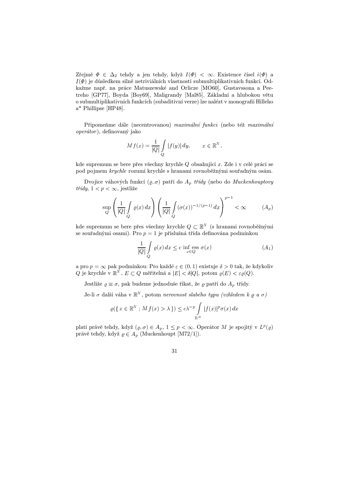Zřejmě  $\Phi \in \Delta_2$  tehdy a jen tehdy, když  $I(\Phi) < \infty$ . Existence čísel  $i(\Phi)$  a  $I(\Phi)$  je důsledkem silně netriviálních vlastností submultiplikativních funkcí. Odkažme např. na práce Matuszewské and Orlicze [MO60], Gustavssona a Peetreho [GP77], Boyda [Boy69], Maligrandy [Mal85]. Základní a hlubokou větu o submultiplikativních funkcích (subaditivní verze) lze nalézt v monografii Hilleho a\* Phillipse [HP48].

Připomeňme dále (necentrovanou) maximální funkci (nebo též maximální operátor ), definovaný jako

$$
Mf(x) = \frac{1}{|Q|} \int\limits_{Q} |f(y)| dy, \qquad x \in \mathbb{R}^N,
$$

kde supremum se bere přes všechny krychle  $Q$  obsahující  $x$ . Zde i v celé práci se pod pojmem krychle rozumí krychle s hranami rovnoběžnými souřadným osám.

Dvojice váhových funkcí  $(\varrho, \sigma)$  patří do  $A_p$  *třídy* (nebo do Muckenhouptovy  $t\check{r}dy$ ,  $1 < p < \infty$ , jestliže

$$
\sup_{Q} \left( \frac{1}{|Q|} \int_{Q} \varrho(x) \, dx \right) \left( \frac{1}{|Q|} \int_{Q} (\sigma(x))^{-1/(p-1)} \, dx \right)^{p-1} < \infty \tag{A_p}
$$

kde supremum se bere přes všechny krychle  $Q \subset \mathbb{R}^N$  (s hrana  $N$  (s hranami rovnoběžnými se souřadnými osami). Pro $\boldsymbol{p}=1$ je příslušná třída definována podmínkou

$$
\frac{1}{|Q|} \int\limits_{Q} \varrho(x) \, dx \le c \, \inf_{x \in Q} \operatorname{ess} \, \sigma(x) \tag{A_1}
$$

a pro  $p = \infty$  pak podmínkou: Pro každé  $\varepsilon \in (0,1)$  existuje  $\delta > 0$  tak, že kdykoliv Q je krychle v  $\mathbb{R}^N$ ,  $E \subset Q$  měřitelná a  $|E| < \delta |Q|$ , potom  $\varrho(E) < \varepsilon \varrho(Q)$ .

Jestliže  $\varrho \equiv \sigma$ , pak budeme jednoduše říkat, že  $\varrho$  patří do  $A_p$  třídy.

Je-li  $\sigma$  další váha v  $\mathbb{R}^N$  , potom *nerovnost slabého typu (vzhledem k*  $\varrho$  *a*  $\sigma$ *)* 

$$
\varrho(\lbrace x \in \mathbb{R}^N ; Mf(x) > \lambda \rbrace) \le c\lambda^{-p} \int_{\mathbb{R}^N} |f(x)|^p \sigma(x) dx
$$

platí právě tehdy, když  $(\varrho, \sigma) \in A_p$ ,  $1 \leq p < \infty$ . Operátor M je spojitý v  $L^p(\varrho)$ právě tehdy, když  $\rho \in A_p$  (Muckenhoupt [M72/1]).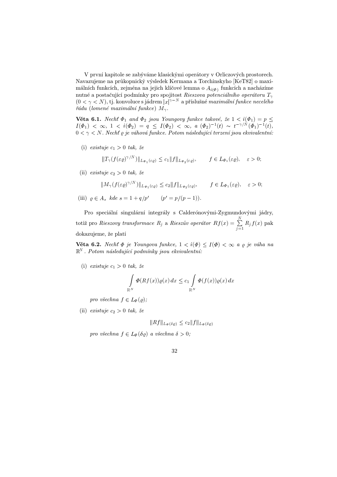V první kapitole se zabýváme klasickými operátory v Orliczových prostorech. Navazujeme na průkopnický výsledek Kermana a Torchinskyho [KeT82] o maximálních funkcích, zejména na jejich klíčové lemma o  $A_{i(\Phi)}$  funkcích a nacházíme nutné a postačující podmínky pro spojitost *Rieszova potenciálního operátoru*  $T_\gamma$  $(0 < \gamma < N)$ , tj. konvoluce s jádrem  $|x|^{\gamma-N}$  a příslušné *maximální funkce necelého* řádu (lomené maximální funkce)  $M_{\gamma}$ .

**Věta 6.1.** Nechť  $\Phi_1$  and  $\Phi_2$  jsou Youngovy funkce takové, že  $1 < i(\Phi_1) = p \leq$  $I(\Phi_1) < \infty, \ 1 \, < \, i(\Phi_2) = q \, \leq \, I(\Phi_2) \, < \infty, \ a \ (\Phi_2)^{-1}(t) \, \sim \, t^{-\gamma/N}(\Phi_1)^{-1}(t),$  $0 < \gamma < N.$  Nechť  $\varrho$  je váhová funkce. Potom následující tvrzení jsou ekvivalentní:

(i) existuje  $c_1 > 0$  tak, že

$$
||T_{\gamma}(f(\varepsilon \varrho)^{\gamma/N})||_{L_{\Phi_1}(\varepsilon \varrho)} \leq c_1 ||f||_{L_{\Phi_2}(\varepsilon \varrho)}, \qquad f \in L_{\Phi_1}(\varepsilon \varrho), \quad \varepsilon > 0;
$$

(ii) existuje  $c_2 > 0$  tak, že

$$
||M_{\gamma}(f(\varepsilon\varrho)^{\gamma/N})||_{L_{\Phi_1}(\varepsilon\varrho)} \leq c_2 ||f||_{L_{\Phi_2}(\varepsilon\varrho)}, \qquad f \in L_{\Phi_1}(\varepsilon\varrho), \quad \varepsilon > 0;
$$

(iii)  $\rho \in A_s$  kde  $s = 1 + q/p'$   $(p' = p/(p-1)).$ 

Pro speciální singulární integrály s Calderónovými-Zygmundovými jádry, totiž pro *Rieszovy transformace*  $R_j$  *a Rieszův operátor*  $Rf(x) = \sum_{i=1}^{N} R_j f(x)$  *pak*  $j=1$  $R_j f(x)$  pak dokazujeme, že platí

**Věta 6.2.** Nechť  $\Phi$  je Youngova funkce,  $1 < i(\Phi) \leq I(\Phi) < \infty$  a  $\varrho$  je váha na  $N$ . Potom následující podmínky jsou ekvivalentní:

(i) existuje  $c_1 > 0$  tak, že

$$
\int_{\mathbb{R}^N} \Phi(Rf(x))\varrho(x) dx \le c_1 \int_{\mathbb{R}^N} \Phi(f(x))\varrho(x) dx
$$

pro všechna  $f \in L_{\Phi}(\varrho);$ 

(ii) existuje  $c_2 > 0$  tak, že

$$
||Rf||_{L_{\Phi}(\delta\varrho)} \leq c_2 ||f||_{L_{\Phi}(\delta\varrho)}
$$

pro všechna  $f \in L_{\Phi}(\delta \varrho)$  a všechna  $\delta > 0;$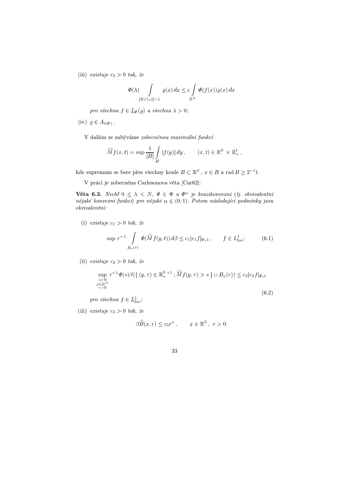(iii) existuje  $c_3 > 0$  tak, že

$$
\Phi(\lambda) \int\limits_{|Rf(x)|>\lambda} \varrho(x) dx \leq c \int\limits_{\mathbb{R}^N} \Phi(f(x)) \varrho(x) dx
$$

pro všechna  $f \in L_{\Phi}(\varrho)$  a všechna  $\lambda > 0$ ;

 $(iv)$   $\rho \in A_{i(\Phi)}$ .

V dalším se zabýváme zobecněnou maximální funkcí

$$
\widehat{M}f(x,t) = \sup \frac{1}{|B|} \int\limits_B |f(y)| dy , \qquad (x,t) \in \mathbb{R}^N \times \mathbb{R}^1_+,
$$

kde supremum se bere přes všechny koule  $B \subset \mathbb{R}^N$  ,  $x \in B$  a  $N, x \in B$  a rad  $B \geq 2^{-1}t$ .

V práci je zobecněna Carlesonova věta [Car62]:

**Věta 6.3.** Necht $0 \leq \lambda < N$ ,  $\Phi \in \Phi$  a  $\Phi^{\alpha}$  je kvazikonvexní (tj. ekvivalentní nějaké konvexní funkci) pro nějaké  $\alpha \in (0,1)$ . Potom následující podmínky jsou ekvivalentní:

(i) existuje  $c_1 > 0$  tak, že

$$
\sup r^{-\lambda} \int\limits_{B_x(r)} \Phi(\widehat{M}f(y,t)) d\beta \le c_1 |c_1 f|_{\Phi,\lambda}, \qquad f \in L^1_{\text{loc}};\tag{6.1}
$$

(ii) existuje  $c_2 > 0$  tak, že

$$
\sup_{\substack{s>0\\x\in\mathbb{R}^N\\r>0}} r^{-\lambda} \Phi(s) \beta(\{(y,\tau) \in \mathbb{R}^{N+1}_+; \widehat{M}f(y,\tau) > s\} \cup B_x(r)) \le c_2 |c_2 f|_{\Phi,\lambda}
$$
\n(6.2)

pro všechna  $f \in L^1_{\text{loc}}$ ;

(iii) existuje  $c_3 > 0$  tak, že

$$
\beta \widehat{B}(x,r) \le c_3 r^n, \qquad x \in \mathbb{R}^N, \ r > 0.
$$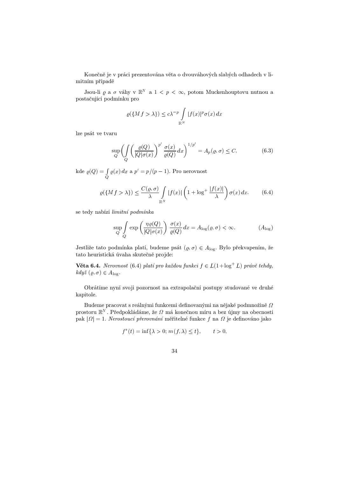Konečně je v práci prezentována věta o dvouváhových slabých odhadech v limitním případě

Jsou-li  $\varrho$  a  $\sigma$  váhy v  $\mathbb{R}^N$  a  $1 < p < \infty$ , potom Muckenhouptovu nutnou a postačující podmínku pro

$$
\varrho(\lbrace Mf \rangle \lambda) \le c\lambda^{-p} \int\limits_{\mathbb{R}^N} |f(x)|^p \sigma(x) dx
$$

lze psát ve tvaru

$$
\sup_{Q} \left( \int\limits_{Q} \left( \frac{\varrho(Q)}{|Q|\sigma(x)} \right)^{p'} \frac{\sigma(x)}{\varrho(Q)} dx \right)^{1/p'} = A_p(\varrho, \sigma) \le C,\tag{6.3}
$$

kde  $\varrho(Q) = \int_{\Omega} \varrho(x) dx$  a  $p' = p/(p-1)$ . Pro nerovnost

$$
\varrho(\lbrace Mf \rangle \lambda \rbrace) \le \frac{C(\varrho, \sigma)}{\lambda} \int_{\mathbb{R}^N} |f(x)| \left(1 + \log^+ \frac{|f(x)|}{\lambda}\right) \sigma(x) \, dx. \tag{6.4}
$$

se tedy nabízí limitní podmínka

$$
\sup_{Q} \int_{Q} \exp\left(\frac{\eta \varrho(Q)}{|Q|\sigma(x)}\right) \frac{\sigma(x)}{\varrho(Q)} dx = A_{\log}(\varrho, \sigma) < \infty. \tag{A}
$$

Jestliže tato podmínka platí, budeme psát  $(\varrho, \sigma) \in A_{\log}$ . Bylo překvapením, že tato heuristická úvaha skutečně projde:

**Věta 6.4.** Nerovnost (6.4) platí pro každou funkci  $f \in L(1+\log^+ L)$  právě tehdy,  $kdy \check{z} (\varrho, \sigma) \in A_{\log}.$ 

Obrátíme nyní svoji pozornost na extrapolační postupy studované ve druhé kapitole.

Budeme pracovat s reálnými funkcemi definovanými na nějaké podmnožině $\varOmega$ prostoru  $\mathbb{R}^N$ . Předpokládáme, že  $\varOmega$  má konečnou míru a bez újmy na obecnosti pak  $|\Omega| = 1$ . Nerostoucí přerovnání měřitelné funkce  $f$  na  $\Omega$  je definováno jako

$$
f^*(t) = \inf\{\lambda > 0; \, m(f, \lambda) \le t\}, \qquad t > 0,
$$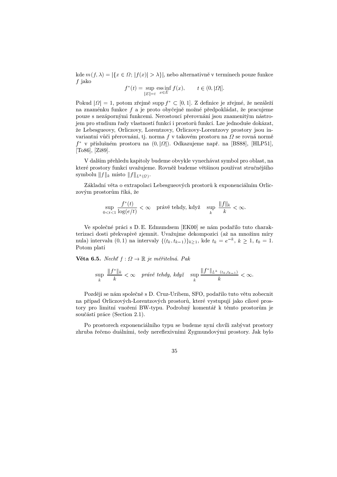kde  $m(f, \lambda) = |\{x \in \Omega; |f(x)| > \lambda\}|$ , nebo alternativně v termínech pouze funkce  $f$  jako

$$
f^*(t) = \sup_{|E|=t} \operatorname{ess\,inf}_{x \in E} f(x), \qquad t \in (0, |\Omega|].
$$

Pokud  $|\varOmega|=1,$  potom zřejmě supp $f^*\subset [0,1].$  Z definice je zřejmé, že nezáleží na znaménku funkce  $f$  a je proto obyčejně možné předpokládat, že pracujeme pouze s nezápornými funkcemi. Nerostoucí přerovnání jsou znamenitým nástrojem pro studium řady vlastností funkcí i prostorů funkcí. Lze jednoduše dokázat, že Lebesgueovy, Orliczovy, Lorentzovy, Orliczovy-Lorentzovy prostory jsou invariantní vůči přerovnání, tj. norma  $f$ v takovém prostoru na $\varOmega$ se rovná normě  $f^*$  v příslušném prostoru na  $(0, |\Omega|)$ . Odkazujeme např. na [BS88], [HLP51], [To86], [Zi89].

V dalším přehledu kapitoly budeme obvykle vynechávat symbol pro oblast, na které prostory funkcí uvažujeme. Rovněž budeme většinou používat stručnějšího  $\operatorname{symbol\, \parallel} f\Vert_k \text{ misto } \Vert f\Vert_{L^k(\varOmega)}.$ 

Základní věta o extrapolaci Lebesgueových prostorů k exponenciálním Orliczovým prostorům říká, že

$$
\sup_{0 < t < 1} \frac{f^*(t)}{\log(e/t)} < \infty \quad \text{právě tehdy, když} \quad \sup_k \frac{\|f\|_k}{k} < \infty.
$$

Ve společné práci s D. E. Edmundsem [EK00] se nám podařilo tuto charakterizaci dosti překvapivě zjemnit. Uvažujme dekompozici (až na množinu míry nula) intervalu  $(0, 1)$  na intervaly  $\{(t_k, t_{k-1})\}_{k \geq 1}$ , kde  $t_k = e^{-k}, k \geq 1, t_0 = 1$ . Potom platí

Věta 6.5. Necht  $f : \Omega \to \mathbb{R}$  je měřitelná. Pak

$$
\sup_{k} \frac{\|f^*\|_{k}}{k} < \infty \quad \text{právě tehdy, když} \quad \sup_{k} \frac{\|f^*\|_{L^k} (t_k, t_{k-1})}{k} < \infty.
$$

Později se nám společně s D. Cruz-Uribem, SFO, podařilo tuto větu zobecnit na případ Orliczových-Lorentzových prostorů, které vystupují jako cílové prostory pro limitní vnoření BW-typu. Podrobný komentář k těmto prostorům je součástí práce (Section 2.1).

Po prostorech exponenciálního typu se budeme nyní chvíli zabývat prostory zhruba řečeno duálními, tedy nereflexivními Zygmundovými prostory. Jak bylo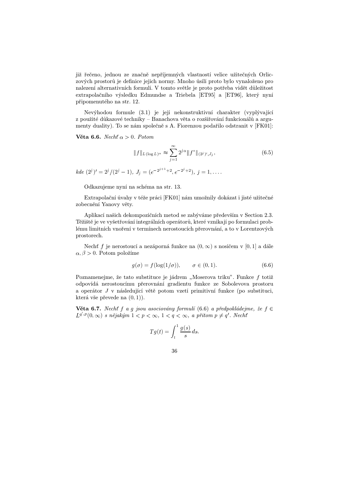již řečeno, jednou ze značně nepříjemných vlastností velice užitečných Orliczových prostorů je definice jejich normy. Mnoho úsilí proto bylo vynaloženo pro nalezení alternativních formulí. V tomto světle je proto potřeba vidět důležitost extrapolačního výsledku Edmundse a Triebela [ET95] a [ET96], který nyní připomenutého na str. 12.

Nevýhodou formule (3.1) je její nekonstruktivní charakter (vyplývající z použité důkazové techniky – Banachova věta o rozšiřování funkcionálů a argumenty duality). To se nám společně s A. Fiorenzou podařilo odstranit v [FK01]:

Věta 6.6. Necht  $\alpha > 0$ . Potom

$$
||f||_{L(\log L)^{\alpha}} \approx \sum_{j=1}^{\infty} 2^{j\alpha} ||f^*||_{(2^j)',J_j},
$$
\n(6.5)

 $kde\ (2^j)'=2^j/(2^j-1),\ J_j=(e^{-2^{j+1}+2},e^{-2^j+2}),\ j=1,\ldots.$ 

Odkazujeme nyní na schéma na str. 13.

Extrapolační úvahy v téže práci [FK01] nám umožnily dokázat i jisté užitečné zobecnění Yanovy věty.

Aplikací našich dekompozičních metod se zabýváme především v Section 2.3. Těžiště je ve vyšetřování integrálních operátorů, které vznikají po formulaci problému limitních vnoření v termínech nerostoucích přerovnání, a to v Lorentzových prostorech.

Necht f je nerostoucí a nezáporná funkce na  $(0, \infty)$  s nosičem v [0, 1] a dále  $\alpha, \beta > 0$ . Potom položíme

$$
g(\sigma) = f(\log(1/\sigma)), \qquad \sigma \in (0, 1). \tag{6.6}
$$

Poznamenejme, že tato substituce je jádrem "Moserova triku". Funkce  $f$  totiž odpovídá nerostoucímu přerovnání gradientu funkce ze Sobolevova prostoru a operátor  $J$  v následující větě potom vzetí primitivní funkce (po substituci, která vše převede na  $(0, 1)$ .

Věta 6.7. Necht f a g jsou asociovány formulí (6.6) a předpokládejme, že f  $\in$  $L^{q^*,p}(0,\infty)$  s nějakým  $1 < p < \infty$ ,  $1 < q < \infty$ , a přitom  $p \neq q'$ . Necht

$$
Tg(t) = \int_t^1 \frac{g(s)}{s} ds.
$$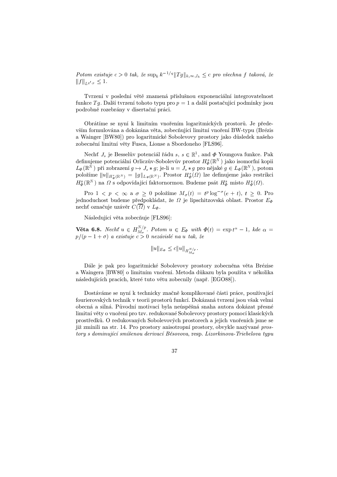Potom existuje  $c > 0$  tak, že  $\sup_k k^{-1/q} ||Tg||_{k,\infty,I_k} \leq c$  pro všechna f taková, že  $|| f ||_{L^{q',p}} \leq 1.$ 

Tvrzení v poslední větě znamená příslušnou exponenciální integrovatelnost funkce  $Tg$ . Další tvrzení tohoto typu pro  $p = 1$  a další postačující podmínky jsou podrobně rozebrány v disertační práci.

Obrátíme se nyní k limitním vnořením logaritmických prostorů. Je především formulována a dokázána věta, zobecňující limitní vnoření BW-typu (Brézis a Wainger [BW80]) pro logaritmické Sobolevovy prostory jako důsledek našeho zobecnění limitní věty Fusca, Lionse a Sbordoneho [FLS96].

Necht  $J_s$  je Besselův potenciál řádu  $s, s \in \mathbb{R}^1$ , and  $\Phi$  Youngova funkce. Pak definujeme potenciální Orliczův-Sobolevův prostor  $H_{\Phi}^{s}(\mathbb{R}^{N})$  jako isomorfní kopii  $L_{\Phi}(\mathbb{R}^N)$  při zobrazení  $g \mapsto J_s * g$ ; je-li  $u = J_s * g$  pro nějaké  $g \in L_{\Phi}(\mathbb{R}^N)$ , potom položíme  $||u||_{H^s_{\Phi}(\mathbb{R}^N)} = ||g||_{L_{\Phi}(\mathbb{R}^N)}$ . Prostor  $H^s_{\Phi}(\Omega)$  lze definujeme jako restrikci  $H^s_{\Phi}(\mathbb{R}^N)$  na  $\Omega$  s odpovídající faktornormou. Budeme psát  $H^s_{\Phi}$  místo  $H^s_{\Phi}(\Omega)$ .

Pro  $1 \lt p \lt \infty$  a  $\sigma \geq 0$  položíme  $M_{\sigma}(t) = t^p \log^{-\sigma}(e+t), t \geq 0$ . Pro jednoduchost budeme předpokládat, že  $\varOmega$  je lipschitzovská oblast. Prostor  $E_{\varPhi}$ nechť označuje uzávěr  $C(\varOmega)$  v  $L_\varPhi.$ 

Následující věta zobecňuje [FLS96]:

Věta 6.8. Nechť  $u \in H_{M_{\pi}}^{\{v\}}$ . Potom u  $N/p$ . Potom  $u \in E_{\Phi}$  with  $\Phi(t) = \exp t^{\alpha} - 1$ , kde  $\alpha =$  $p/(p-1+\sigma)$  a existuje  $c>0$  nezávislé na u tak, že

$$
||u||_{E_{\Phi}} \leq c||u||_{H^{N/p}_{M_{\sigma}}}.
$$

Dále je pak pro logaritmické Sobolevovy prostory zobecněna věta Brézise a Waingera [BW80] o limitním vnoření. Metoda důkazu byla použita v několika následujících pracích, které tuto větu zobecnily (např. [EGO88]).

Dostáváme se nyní k technicky značně komplikované části práce, používající fourierovských technik v teorii prostorů funkcí. Dokázaná tvrzení jsou však velmi obecná a silná. P˚uvodní motivací byla neúspěšná snaha autora dokázat přesné limitní věty o vnoření pro tzv. redukované Sobolevovy prostory pomocí klasických prostředk˚u. O redukovaných Sobolevových prostorech a jejich vnořeních jsme se již zmínili na str. 14. Pro prostory anisotropní prostory, obvykle nazývané prostory s dominující smíšenou derivací Běsovova, resp. Lizorkinova-Triebelova typu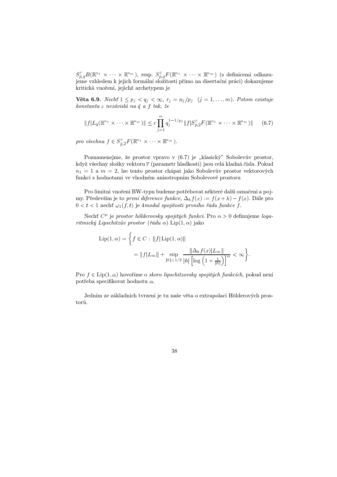$S^{\bar{r}}_{\bar{r},\bar{q}}B(\mathbb{R}^{n_1}\times\cdots\times \mathbb{R}^{n_m})$ , resp.  $S^{\bar{r}}_{\bar{p},\bar{q}}F(\mathbb{R}^{n_1}\times\cdots\times \mathbb{R}^{n_m})$  (s definicemi odkazujeme vzhledem k jejich formální složitosti přímo na disertační práci) dokazujeme kritická vnoření, jejichž archetypem je

**Věta 6.9.** Nechť  $1 \leq p_j < q_j < \infty$ ,  $r_j = n_j/p_j$   $(j = 1, \ldots, m)$ . Potom existuje  $\emph{konstanta}$  c nezávislá na $\bar{q}$  a  $f$  tak, že

$$
||f|L_{\bar{q}}(\mathbb{R}^{n_1} \times \cdots \times \mathbb{R}^{n_m})|| \leq c \prod_{j=1}^{m} q_j^{1-1/p_j} ||f| S_{\bar{p}, \bar{2}}^{\bar{r}} F(\mathbb{R}^{n_1} \times \cdots \times \mathbb{R}^{n_m})|| \qquad (6.7)
$$

pro všechna  $f \in S^{\bar{r}}_{\bar{p}, \bar{2}}F(\mathbb{R}^{n_1} \times \cdots \times \mathbb{R}^{n_m}).$ 

Poznamenejme, že prostor vpravo v (6.7) je "klasický" Sobolevův prostor, když všechny složky vektoru  $\overline{r}$  (parametr hladkosti) jsou celá kladná čísla. Pokud  $n_1 = 1$  a  $m = 2$ , lze tento prostor chápat jako Sobolevův prostor vektorových funkcí s hodnotami ve vhodném anisotropním Sobolevově prostoru

Pro limitní vnoření BW-typu budeme potřebovat některé další označení a pojmy. Především je to *první diference funkce*,  $\Delta_h f(x) := f(x+h) - f(x)$ . Dále pro  $0 < t < 1$  nechť  $\omega_1(f,t)$  je 4modul spojitosti prvního řádu funkce f.

Necht  $C^{\mu}$  je prostor hölderovsky spojitých funkcí. Pro  $\alpha > 0$  definujeme logaritmický Lipschitzův prostor (řádu  $\alpha$ ) Lip $(1, \alpha)$  jako

$$
\text{Lip}(1, \alpha) = \left\{ f \in C : \|f| \text{Lip}(1, \alpha)\|
$$
  
=  $||f|L_{\infty}|| + \sup_{|h| < 1/2} \frac{||\Delta_h f(x)|L_{\infty}||}{|h| \left[\log\left(1 + \frac{1}{|h|}\right)\right]^{\alpha}} < \infty \right\}.$ 

Pro  $f \in Lip(1, \alpha)$  hovoříme o skoro lipschitzovsky spojitých funkcích, pokud není potřeba specifikovat hodnotu  $\alpha$ .

Jedním ze základních tvrzení je tu naše věta o extrapolaci Hölderových prostorů.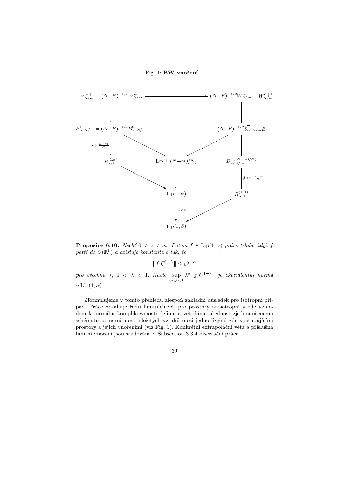

**Proposice 6.10.** Nechť  $0 < \alpha < \infty$ . Potom  $f \in Lip(1, \alpha)$  právě tehdy, když f patří do  $C(\mathbb{R}^1)$  a existuje konstanta c tak, že

 $||f|C^{1-\lambda}|| \leq c\lambda^{-\alpha}$ 

pro všechna  $\lambda$ ,  $0 < \lambda < 1$ . Navíc sup  $0 < \lambda < 1$  $\lambda^{\alpha} \Vert f \vert C^{1-\lambda} \Vert$  je ekvivalentní norma  $v \operatorname{Lip}(1, \alpha)$ .

Zformulujeme v tomto přehledu alespoň základní důsledek pro isotropní případ. Práce obsahuje řadu limitních vět pro prostory anisotropní a zde vzhledem k formální komplikovanosti definic a vět dáme přednost zjednodušenému schématu poměrně dosti složitých vztahů mezi jednotlivými zde vystupujícími prostory a jejich vnořeními (viz Fig. 1). Konkrétní extrapolační věta a příslušná limitní vnoření jsou studována v Subsection 3.3.4 disertační práce.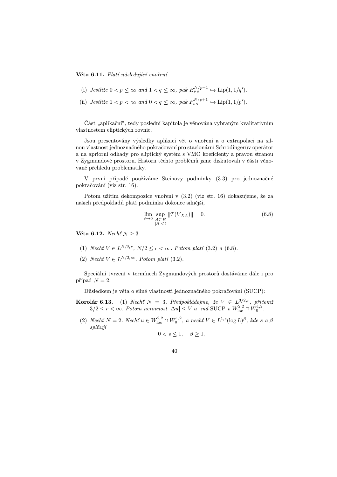#### Věta 6.11. Platí následující vnoření

- (i) Jestliže  $0 < p \le \infty$  and  $1 < q \le \infty$ , pak  $B_{pq}^{N/p+1} \hookrightarrow \text{Lip}(1,1/q')$ .
- (ii) Jestliže  $1 < p < \infty$  and  $0 < q \le \infty$ , pak  $F_{p,q}^{N/p+1} \hookrightarrow \text{Lip}(1,1/p')$ .

Část "aplikační", tedy poslední kapitola je věnována vybraným kvalitativním vlastnostem eliptických rovnic.

Jsou presentovány výsledky aplikací vět o vnoření a o extrapolaci na silnou vlastnost jednoznačného pokračování pro stacionární Schrödingerův operátor a na apriorní odhady pro eliptický systém s VMO koeficienty a pravou stranou v Zygmundově prostoru. Historii těchto problémů jsme diskutovali v části věnované přehledu problematiky.

V první případě používáme Steinovy podmínky (3.3) pro jednoznačné pokračování (viz str. 16).

Potom užitím dekompozice vnoření v (3.2) (viz str. 16) dokazujeme, že za našich předpokladů platí podmínka dokonce silnější,

$$
\lim_{\delta \to 0} \sup_{\substack{A \subset B \\ |A| < \delta}} \|T(V \chi_A)\| = 0. \tag{6.8}
$$

Věta 6.12. Necht  $N \geq 3$ .

- (1) Necht  $V \in L^{N/2,r}$ ,  $N/2 \le r < \infty$ . Potom platí (3.2) a (6.8).
- (2) Necht  $V \in L^{N/2,\infty}$ . Potom platí (3.2).

Speciální tvrzení v termínech Zygmundových prostorů dostáváme dále i pro případ  $N = 2$ .

D˚usledkem je věta o silné vlastnosti jednoznačného pokračování (SUCP):

- **Korolár 6.13.** (1) Necht  $N = 3$ . Předpokládejme, že  $V \in L^{3/2,r}$ , přičemž  $3/2 \le r < \infty$ . Potom nerovnost  $|\Delta u| \le V|u|$  má SUCP v  $W^{2,2}_{loc} \cap W^{1,2}_{0}$ .
	- (2) Necht  $N = 2$ . Necht  $u \in W^{2,2}_{loc} \cap W^{1,2}_0$ , a necht  $V \in L^{1,s}(\log L)^{\beta}$ , kde s a  $\beta$ splňují

$$
0 < s \le 1, \quad \beta \ge 1,
$$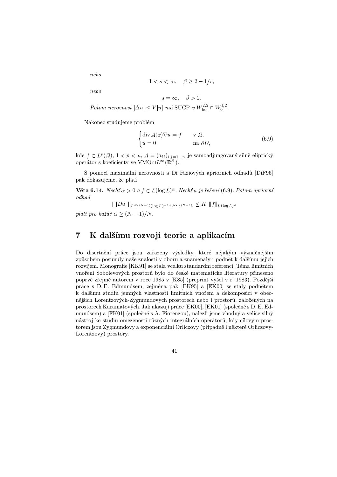nebo

$$
1 < s < \infty, \quad \beta \ge 2 - 1/s,
$$

nebo

$$
s = \infty, \quad \beta > 2.
$$

Potom nerovnost  $|\Delta u| \le V|u|$  má SUCP v  $W^{2,2}_{loc} \cap W^{1,2}_0$ .

Nakonec studujeme problém

$$
\begin{cases} \operatorname{div} A(x) \nabla u = f & \text{v } \Omega, \\ u = 0 & \text{na } \partial \Omega, \end{cases}
$$
 (6.9)

kde  $f \in L^p(\Omega)$ ,  $1 < p < n$ ,  $A = (a_{ij})_{i,j=1...n}$  je samoadjungovaný silně eliptický operátor s koeficienty ve  $VMO \cap L^{\infty}(\mathbb{R}^N)$ .

S pomocí maximální nerovnosti a Di Faziových apriorních odhadů [DiF96] pak dokazujeme, že platí

 $\mathbf {V\check{e}ta\ 6.14}. \,\, Necht\,\alpha>0\,\,a\,f\in L(\log L)^\alpha. \,\, Necht\,u\,\,je\,\,r\check{e}\check{s}eni\ (6.9). \,\, Potom\,\,apriorni$ odhad

 $\| \| D u \| \|_{L^{\frac{N}{N-1}}(\log L)^{-1+[N\alpha/(N-1)]}} \leq \Lambda \| J \|_{L(\log L)^{\alpha}}$ 

platí pro každé  $\alpha \geq (N-1)/N$ .

### 7 K dalšímu rozvoji teorie a aplikacím

Do disertační práce jsou zařazeny výsledky, které nějakým význačnějším způsobem posunuly naše znalosti v oboru a znamenaly i podnět k dalšímu jejich rozvíjení. Monografie [KK91] se stala vcelku standardní referencí. Téma limitních vnoření Sobolevových prostorů bylo do české matematické literatury přineseno poprvé zřejmě autorem v roce 1985 v [K85] (preprint vyšel v r. 1983). Pozdější práce s D. E. Edmundsem, zejména pak [EK95] a [EK00] se staly podnětem k dalšímu studiu jemných vlastností limitních vnoření a dekomposicí v obecnějších Lorentzových-Zygmundových prostorech nebo i prostorů, založených na prostorech Karamatových. Jak ukazují práce [EK00], [EK01] (společně s D. E. Edmundsem) a [FK01] (společně s A. Fiorenzou), nalezli jsme vhodný a velice silný nástroj ke studiu omezenosti různých integrálních operátorů, kdy cílovým prostorem jsou Zygmundovy a exponenciální Orliczovy (případně i některé Orliczovy-Lorentzovy) prostory.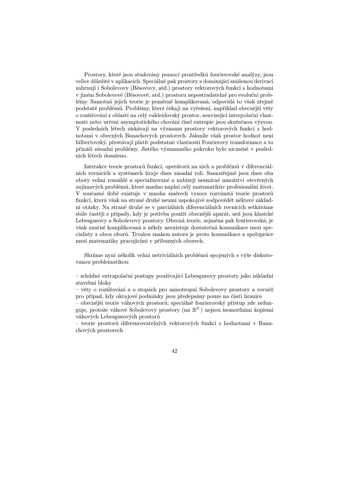Prostory, které jsou studovány pomocí prostředků fourierovské analýzy, jsou velice d˚uležité v aplikacích. Speciálně pak prostory s dominující smíšenou derivací zahrnují i Sobolevovy (Běsovovy, atd.) prostory vektorových funkcí s hodnotami v jiném Sobolevově (Běsovově, atd.) prostoru nepostradatelné pro evoluční problémy. Samotná jejich teorie je poměrně komplikovaná, odpovídá to však zřejmě podstatě problémů. Problémy, které čekají na vyřešení, například obecnější věty o rozšiřování z oblastí na celý eukleidovský prostor, související interpolační vlastnosti nebo určení asymptotického chování čísel entropie jsou skutečnou výzvou. V posledních létech získávají na významu prostory vektorových funkcí s hodnotami v obecných Banachových prostorech. Jakmile však prostor hodnot není hilbertovský, přestávají platit podstatné vlastnosti Fourierovy transformace a to přináší zásadní problémy. Jistého významného pokroku bylo nicméně v posledních létech dosaženo.

Interakce teorie prostorů funkcí, operátorů na nich a problémů v diferenciálních rovnicích a systémech hraje dnes zásadní roli. Samozřejmě jsou dnes oba obory velmi rozsáhlé a specializované a nabízejí nesmírné množství otevřených zajímavých problémů, které snadno naplní celý matematikův profesionální život. V současné době existuje v mnoha směrech vysoce rozvinutá teorie prostorů funkcí, která však na straně druhé neumí uspokojivě zodpovědět některé základní otázky. Na straně druhé se v parciálních diferenciálních rovnicích setkáváme stále častěji s případy, kdy je potřeba použít obecnější aparát, než jsou klasické Lebesgueovy a Sobolevovy prostory. Obecná teorie, zejména pak fourierovská, je však značně komplikovaná a někdy neexistuje dostatečná komunikace mezi specialisty z obou oborů. Trvalou snahou autora je proto komunikace a spolupráce mezi matematiky pracujícími v příbuzných oborech.

Shrňme nyní několik velmi netriviálních problémů spojených s výše diskutovanou problematikou:

– sch˚udné extrapolační postupy používající Lebesgueovy prostory jako základní stavební bloky

– věty o rozšiřování a o stopách pro anisotropní Sobolevovy prostory a rovněž pro případ, kdy okrajové podmínky jsou předepsány pouze na části hranice

– obecnější teorie váhových prostor˚u; speciálně fourierovský přístup zde nefunguje, protože váhové Sobolevovy prostory (na  $\mathbb{R}^N$ ) nejsou isomorfními kopiemi váhových Lebesgueových prostorů

– teorie prostor˚u diferencovatelných vektorových funkcí s hodnotami v Banachových prostorech